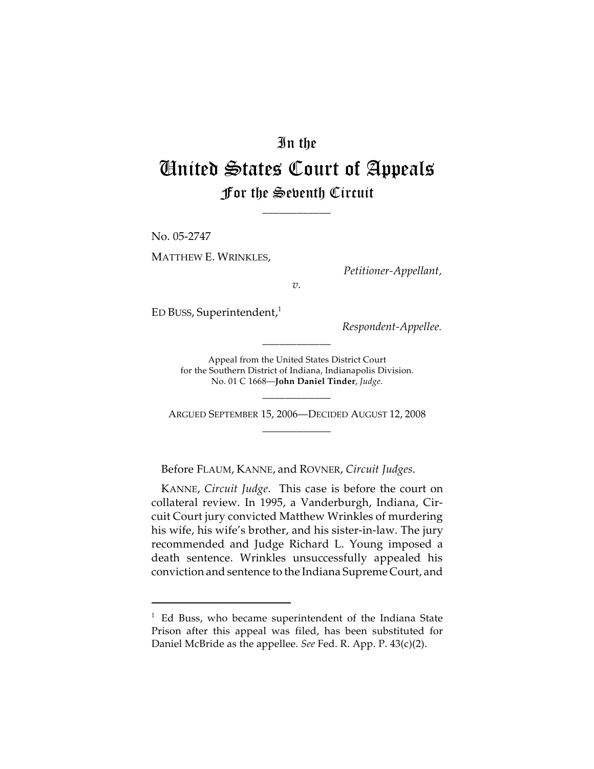# In the

# United States Court of Appeals For the Seventh Circuit

\_\_\_\_\_\_\_\_\_\_\_\_

No. 05-2747 MATTHEW E. WRINKLES,

*Petitioner-Appellant,*

*v.*

ED BUSS, Superintendent, $<sup>1</sup>$ </sup>

*Respondent-Appellee.*

Appeal from the United States District Court for the Southern District of Indiana, Indianapolis Division. No. 01 C 1668—**John Daniel Tinder**, *Judge.*

\_\_\_\_\_\_\_\_\_\_\_\_

ARGUED SEPTEMBER 15, 2006—DECIDED AUGUST 12, 2008 \_\_\_\_\_\_\_\_\_\_\_\_

\_\_\_\_\_\_\_\_\_\_\_\_

Before FLAUM, KANNE, and ROVNER, *Circuit Judges*.

KANNE, *Circuit Judge*. This case is before the court on collateral review. In 1995, a Vanderburgh, Indiana, Circuit Court jury convicted Matthew Wrinkles of murdering his wife, his wife's brother, and his sister-in-law. The jury recommended and Judge Richard L. Young imposed a death sentence. Wrinkles unsuccessfully appealed his conviction and sentence to the Indiana Supreme Court, and

 $1$  Ed Buss, who became superintendent of the Indiana State Prison after this appeal was filed, has been substituted for Daniel McBride as the appellee. *See* Fed. R. App. P. 43(c)(2).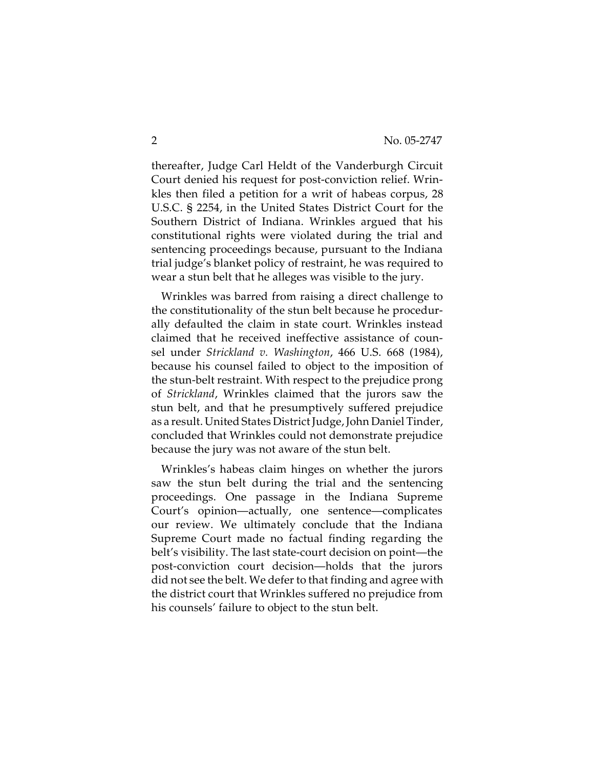thereafter, Judge Carl Heldt of the Vanderburgh Circuit Court denied his request for post-conviction relief. Wrinkles then filed a petition for a writ of habeas corpus, 28 U.S.C. § 2254, in the United States District Court for the Southern District of Indiana. Wrinkles argued that his constitutional rights were violated during the trial and sentencing proceedings because, pursuant to the Indiana trial judge's blanket policy of restraint, he was required to wear a stun belt that he alleges was visible to the jury.

Wrinkles was barred from raising a direct challenge to the constitutionality of the stun belt because he procedurally defaulted the claim in state court. Wrinkles instead claimed that he received ineffective assistance of counsel under *Strickland v. Washington*, 466 U.S. 668 (1984), because his counsel failed to object to the imposition of the stun-belt restraint. With respect to the prejudice prong of *Strickland*, Wrinkles claimed that the jurors saw the stun belt, and that he presumptively suffered prejudice as a result. United States District Judge, John Daniel Tinder, concluded that Wrinkles could not demonstrate prejudice because the jury was not aware of the stun belt.

Wrinkles's habeas claim hinges on whether the jurors saw the stun belt during the trial and the sentencing proceedings. One passage in the Indiana Supreme Court's opinion—actually, one sentence—complicates our review. We ultimately conclude that the Indiana Supreme Court made no factual finding regarding the belt's visibility. The last state-court decision on point—the post-conviction court decision—holds that the jurors did not see the belt. We defer to that finding and agree with the district court that Wrinkles suffered no prejudice from his counsels' failure to object to the stun belt.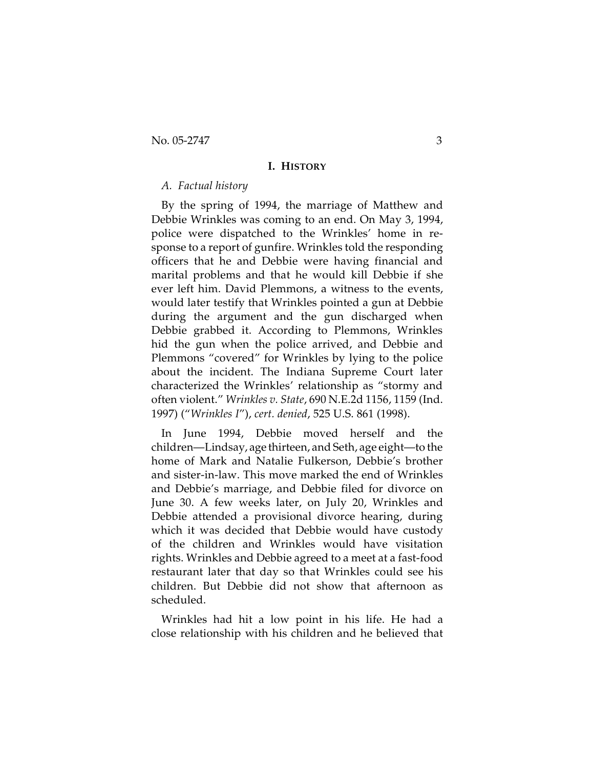#### **I. HISTORY**

### *A. Factual history*

By the spring of 1994, the marriage of Matthew and Debbie Wrinkles was coming to an end. On May 3, 1994, police were dispatched to the Wrinkles' home in response to a report of gunfire. Wrinkles told the responding officers that he and Debbie were having financial and marital problems and that he would kill Debbie if she ever left him. David Plemmons, a witness to the events, would later testify that Wrinkles pointed a gun at Debbie during the argument and the gun discharged when Debbie grabbed it. According to Plemmons, Wrinkles hid the gun when the police arrived, and Debbie and Plemmons "covered" for Wrinkles by lying to the police about the incident. The Indiana Supreme Court later characterized the Wrinkles' relationship as "stormy and often violent." *Wrinkles v. State*, 690 N.E.2d 1156, 1159 (Ind. 1997) ("*Wrinkles I*"), *cert. denied*, 525 U.S. 861 (1998).

In June 1994, Debbie moved herself and the children—Lindsay, age thirteen, and Seth, age eight—to the home of Mark and Natalie Fulkerson, Debbie's brother and sister-in-law. This move marked the end of Wrinkles and Debbie's marriage, and Debbie filed for divorce on June 30. A few weeks later, on July 20, Wrinkles and Debbie attended a provisional divorce hearing, during which it was decided that Debbie would have custody of the children and Wrinkles would have visitation rights. Wrinkles and Debbie agreed to a meet at a fast-food restaurant later that day so that Wrinkles could see his children. But Debbie did not show that afternoon as scheduled.

Wrinkles had hit a low point in his life. He had a close relationship with his children and he believed that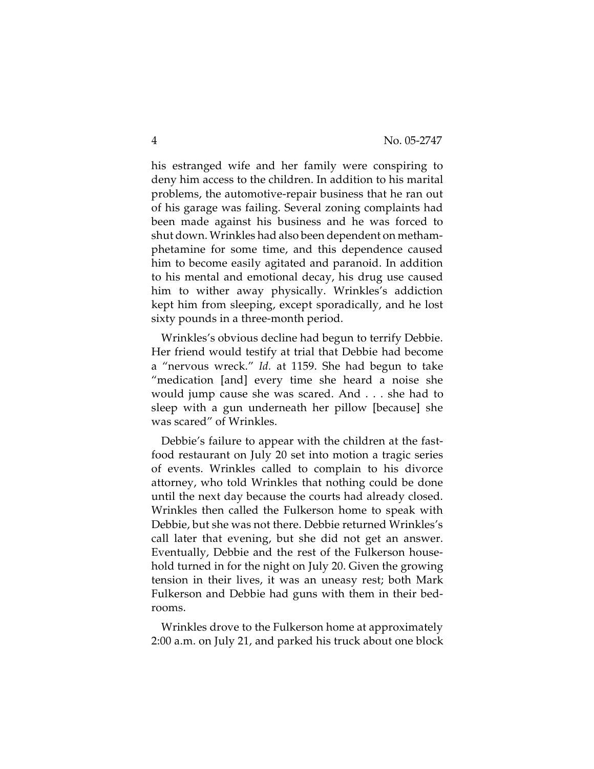his estranged wife and her family were conspiring to deny him access to the children. In addition to his marital problems, the automotive-repair business that he ran out of his garage was failing. Several zoning complaints had been made against his business and he was forced to shut down. Wrinkles had also been dependent on methamphetamine for some time, and this dependence caused him to become easily agitated and paranoid. In addition to his mental and emotional decay, his drug use caused him to wither away physically. Wrinkles's addiction kept him from sleeping, except sporadically, and he lost sixty pounds in a three-month period.

Wrinkles's obvious decline had begun to terrify Debbie. Her friend would testify at trial that Debbie had become a "nervous wreck." *Id.* at 1159. She had begun to take "medication [and] every time she heard a noise she would jump cause she was scared. And . . . she had to sleep with a gun underneath her pillow [because] she was scared" of Wrinkles.

Debbie's failure to appear with the children at the fastfood restaurant on July 20 set into motion a tragic series of events. Wrinkles called to complain to his divorce attorney, who told Wrinkles that nothing could be done until the next day because the courts had already closed. Wrinkles then called the Fulkerson home to speak with Debbie, but she was not there. Debbie returned Wrinkles's call later that evening, but she did not get an answer. Eventually, Debbie and the rest of the Fulkerson household turned in for the night on July 20. Given the growing tension in their lives, it was an uneasy rest; both Mark Fulkerson and Debbie had guns with them in their bedrooms.

Wrinkles drove to the Fulkerson home at approximately 2:00 a.m. on July 21, and parked his truck about one block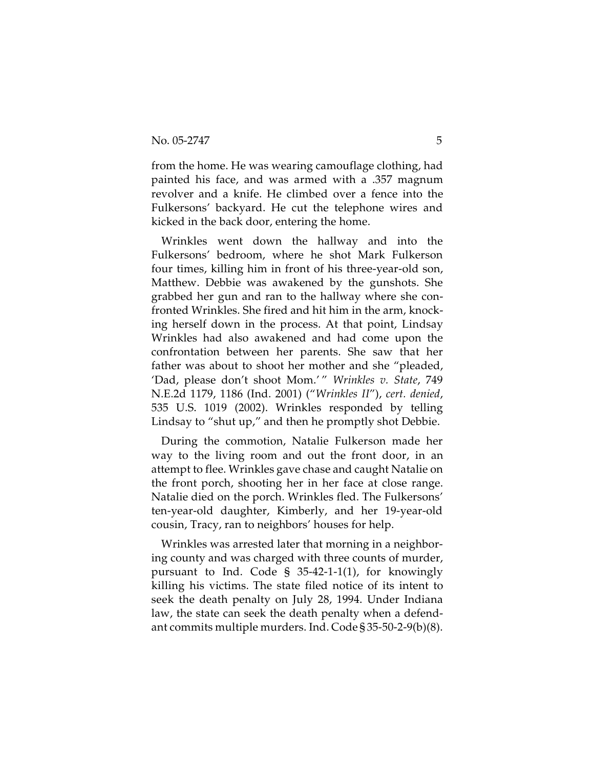from the home. He was wearing camouflage clothing, had painted his face, and was armed with a .357 magnum revolver and a knife. He climbed over a fence into the Fulkersons' backyard. He cut the telephone wires and kicked in the back door, entering the home.

Wrinkles went down the hallway and into the Fulkersons' bedroom, where he shot Mark Fulkerson four times, killing him in front of his three-year-old son, Matthew. Debbie was awakened by the gunshots. She grabbed her gun and ran to the hallway where she confronted Wrinkles. She fired and hit him in the arm, knocking herself down in the process. At that point, Lindsay Wrinkles had also awakened and had come upon the confrontation between her parents. She saw that her father was about to shoot her mother and she "pleaded, 'Dad, please don't shoot Mom.' " *Wrinkles v. State*, 749 N.E.2d 1179, 1186 (Ind. 2001) ("*Wrinkles II*"), *cert. denied*, 535 U.S. 1019 (2002). Wrinkles responded by telling Lindsay to "shut up," and then he promptly shot Debbie.

During the commotion, Natalie Fulkerson made her way to the living room and out the front door, in an attempt to flee. Wrinkles gave chase and caught Natalie on the front porch, shooting her in her face at close range. Natalie died on the porch. Wrinkles fled. The Fulkersons' ten-year-old daughter, Kimberly, and her 19-year-old cousin, Tracy, ran to neighbors' houses for help.

Wrinkles was arrested later that morning in a neighboring county and was charged with three counts of murder, pursuant to Ind. Code § 35-42-1-1(1), for knowingly killing his victims. The state filed notice of its intent to seek the death penalty on July 28, 1994. Under Indiana law, the state can seek the death penalty when a defendant commits multiple murders. Ind. Code § 35-50-2-9(b)(8).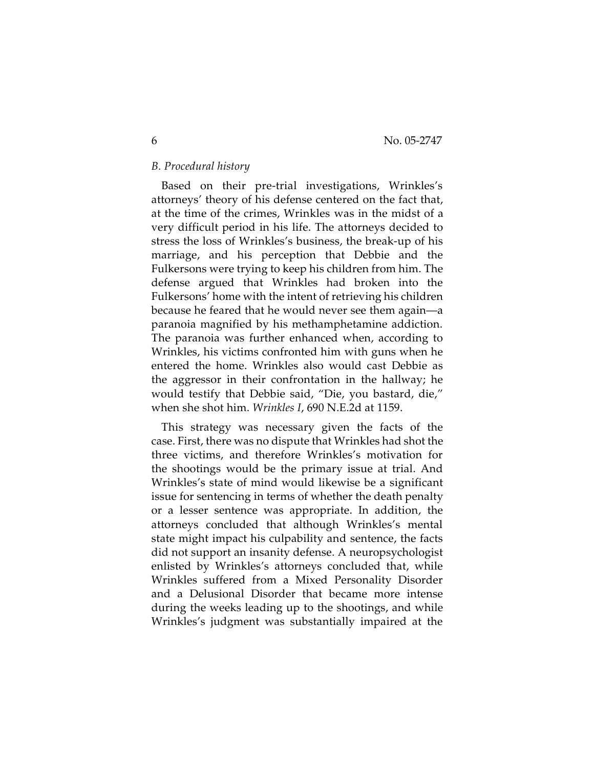# *B. Procedural history*

Based on their pre-trial investigations, Wrinkles's attorneys' theory of his defense centered on the fact that, at the time of the crimes, Wrinkles was in the midst of a very difficult period in his life. The attorneys decided to stress the loss of Wrinkles's business, the break-up of his marriage, and his perception that Debbie and the Fulkersons were trying to keep his children from him. The defense argued that Wrinkles had broken into the Fulkersons' home with the intent of retrieving his children because he feared that he would never see them again—a paranoia magnified by his methamphetamine addiction. The paranoia was further enhanced when, according to Wrinkles, his victims confronted him with guns when he entered the home. Wrinkles also would cast Debbie as the aggressor in their confrontation in the hallway; he would testify that Debbie said, "Die, you bastard, die," when she shot him. *Wrinkles I*, 690 N.E.2d at 1159.

This strategy was necessary given the facts of the case. First, there was no dispute that Wrinkles had shot the three victims, and therefore Wrinkles's motivation for the shootings would be the primary issue at trial. And Wrinkles's state of mind would likewise be a significant issue for sentencing in terms of whether the death penalty or a lesser sentence was appropriate. In addition, the attorneys concluded that although Wrinkles's mental state might impact his culpability and sentence, the facts did not support an insanity defense. A neuropsychologist enlisted by Wrinkles's attorneys concluded that, while Wrinkles suffered from a Mixed Personality Disorder and a Delusional Disorder that became more intense during the weeks leading up to the shootings, and while Wrinkles's judgment was substantially impaired at the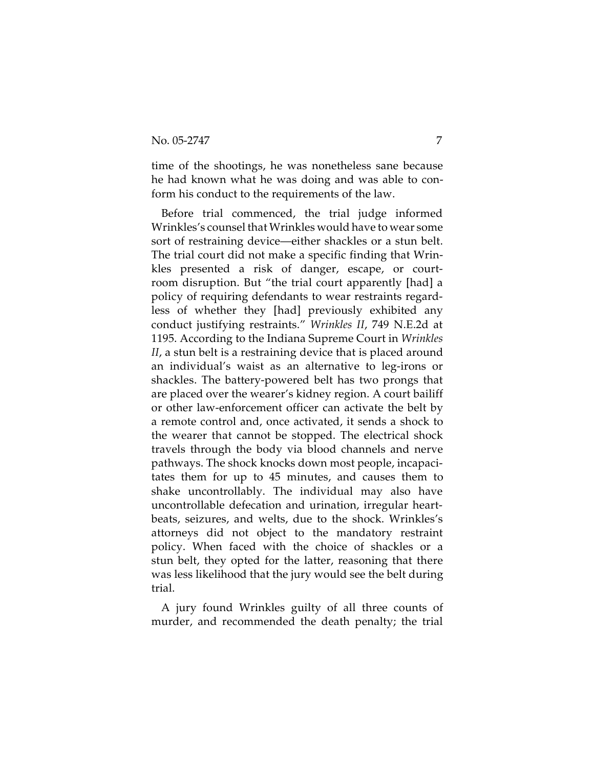time of the shootings, he was nonetheless sane because he had known what he was doing and was able to conform his conduct to the requirements of the law.

Before trial commenced, the trial judge informed Wrinkles's counsel that Wrinkles would have to wear some sort of restraining device—either shackles or a stun belt. The trial court did not make a specific finding that Wrinkles presented a risk of danger, escape, or courtroom disruption. But "the trial court apparently [had] a policy of requiring defendants to wear restraints regardless of whether they [had] previously exhibited any conduct justifying restraints." *Wrinkles II*, 749 N.E.2d at 1195. According to the Indiana Supreme Court in *Wrinkles II*, a stun belt is a restraining device that is placed around an individual's waist as an alternative to leg-irons or shackles. The battery-powered belt has two prongs that are placed over the wearer's kidney region. A court bailiff or other law-enforcement officer can activate the belt by a remote control and, once activated, it sends a shock to the wearer that cannot be stopped. The electrical shock travels through the body via blood channels and nerve pathways. The shock knocks down most people, incapacitates them for up to 45 minutes, and causes them to shake uncontrollably. The individual may also have uncontrollable defecation and urination, irregular heartbeats, seizures, and welts, due to the shock. Wrinkles's attorneys did not object to the mandatory restraint policy. When faced with the choice of shackles or a stun belt, they opted for the latter, reasoning that there was less likelihood that the jury would see the belt during trial.

A jury found Wrinkles guilty of all three counts of murder, and recommended the death penalty; the trial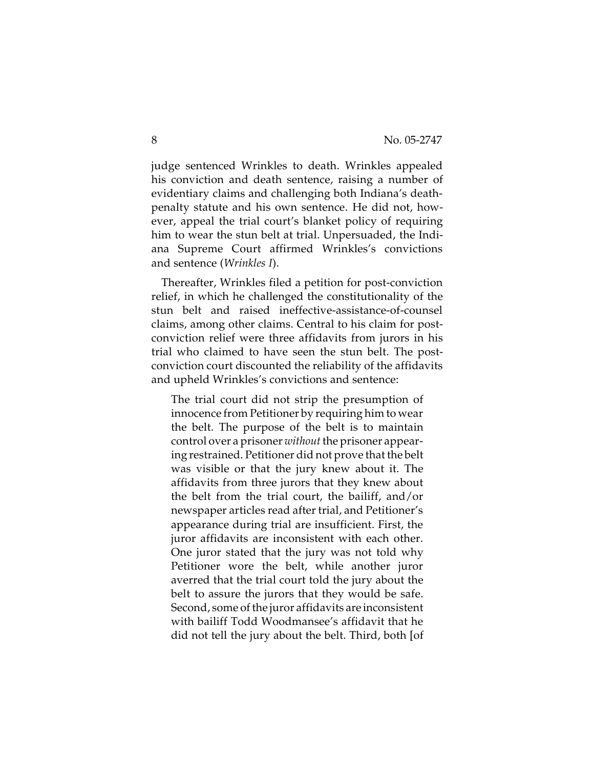judge sentenced Wrinkles to death. Wrinkles appealed his conviction and death sentence, raising a number of evidentiary claims and challenging both Indiana's deathpenalty statute and his own sentence. He did not, however, appeal the trial court's blanket policy of requiring him to wear the stun belt at trial. Unpersuaded, the Indiana Supreme Court affirmed Wrinkles's convictions and sentence (*Wrinkles I*).

Thereafter, Wrinkles filed a petition for post-conviction relief, in which he challenged the constitutionality of the stun belt and raised ineffective-assistance-of-counsel claims, among other claims. Central to his claim for postconviction relief were three affidavits from jurors in his trial who claimed to have seen the stun belt. The postconviction court discounted the reliability of the affidavits and upheld Wrinkles's convictions and sentence:

The trial court did not strip the presumption of innocence from Petitioner by requiring him to wear the belt. The purpose of the belt is to maintain control over a prisoner *without* the prisoner appearing restrained. Petitioner did not prove that the belt was visible or that the jury knew about it. The affidavits from three jurors that they knew about the belt from the trial court, the bailiff, and/or newspaper articles read after trial, and Petitioner's appearance during trial are insufficient. First, the juror affidavits are inconsistent with each other. One juror stated that the jury was not told why Petitioner wore the belt, while another juror averred that the trial court told the jury about the belt to assure the jurors that they would be safe. Second, some of the juror affidavits are inconsistent with bailiff Todd Woodmansee's affidavit that he did not tell the jury about the belt. Third, both [of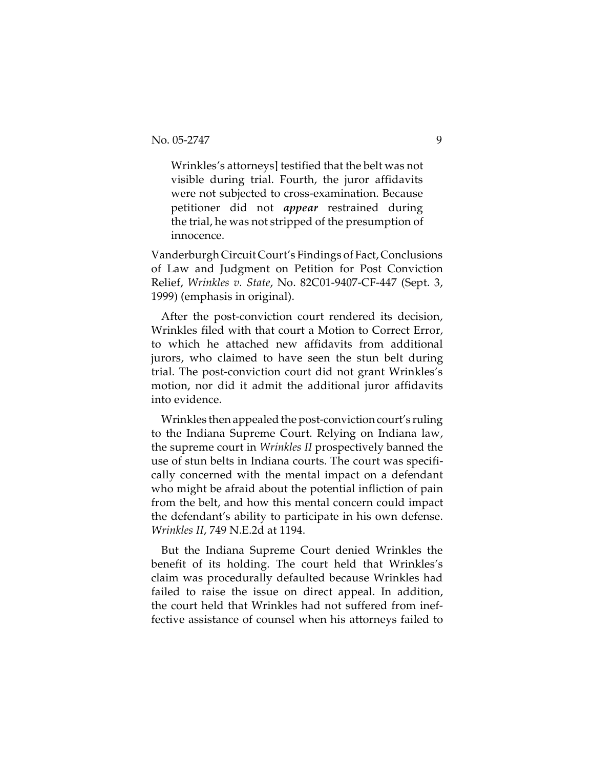Wrinkles's attorneys] testified that the belt was not visible during trial. Fourth, the juror affidavits were not subjected to cross-examination. Because petitioner did not *appear* restrained during the trial, he was not stripped of the presumption of innocence.

Vanderburgh Circuit Court's Findings of Fact, Conclusions of Law and Judgment on Petition for Post Conviction Relief, *Wrinkles v. State*, No. 82C01-9407-CF-447 (Sept. 3, 1999) (emphasis in original).

After the post-conviction court rendered its decision, Wrinkles filed with that court a Motion to Correct Error, to which he attached new affidavits from additional jurors, who claimed to have seen the stun belt during trial. The post-conviction court did not grant Wrinkles's motion, nor did it admit the additional juror affidavits into evidence.

Wrinkles then appealed the post-conviction court's ruling to the Indiana Supreme Court. Relying on Indiana law, the supreme court in *Wrinkles II* prospectively banned the use of stun belts in Indiana courts. The court was specifically concerned with the mental impact on a defendant who might be afraid about the potential infliction of pain from the belt, and how this mental concern could impact the defendant's ability to participate in his own defense. *Wrinkles II*, 749 N.E.2d at 1194.

But the Indiana Supreme Court denied Wrinkles the benefit of its holding. The court held that Wrinkles's claim was procedurally defaulted because Wrinkles had failed to raise the issue on direct appeal. In addition, the court held that Wrinkles had not suffered from ineffective assistance of counsel when his attorneys failed to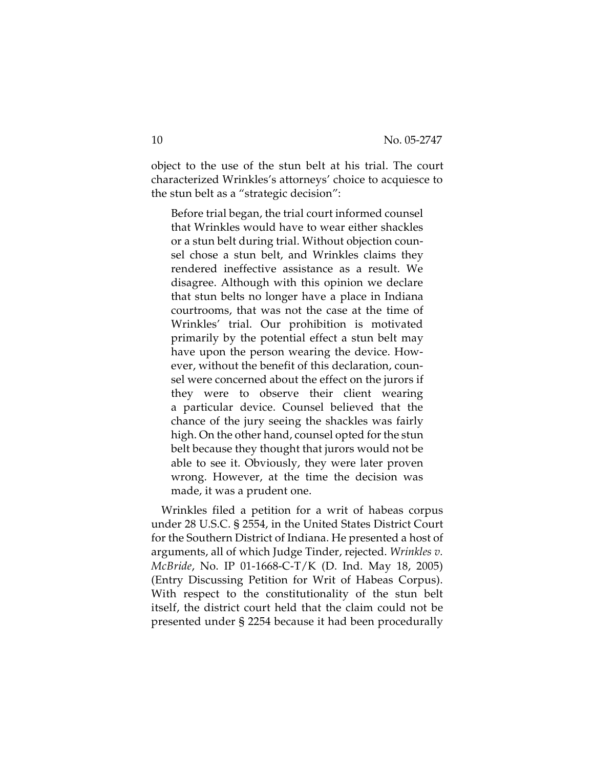object to the use of the stun belt at his trial. The court characterized Wrinkles's attorneys' choice to acquiesce to the stun belt as a "strategic decision":

Before trial began, the trial court informed counsel that Wrinkles would have to wear either shackles or a stun belt during trial. Without objection counsel chose a stun belt, and Wrinkles claims they rendered ineffective assistance as a result. We disagree. Although with this opinion we declare that stun belts no longer have a place in Indiana courtrooms, that was not the case at the time of Wrinkles' trial. Our prohibition is motivated primarily by the potential effect a stun belt may have upon the person wearing the device. However, without the benefit of this declaration, counsel were concerned about the effect on the jurors if they were to observe their client wearing a particular device. Counsel believed that the chance of the jury seeing the shackles was fairly high. On the other hand, counsel opted for the stun belt because they thought that jurors would not be able to see it. Obviously, they were later proven wrong. However, at the time the decision was made, it was a prudent one.

Wrinkles filed a petition for a writ of habeas corpus under 28 U.S.C. § 2554, in the United States District Court for the Southern District of Indiana. He presented a host of arguments, all of which Judge Tinder, rejected. *Wrinkles v. McBride*, No. IP 01-1668-C-T/K (D. Ind. May 18, 2005) (Entry Discussing Petition for Writ of Habeas Corpus). With respect to the constitutionality of the stun belt itself, the district court held that the claim could not be presented under § 2254 because it had been procedurally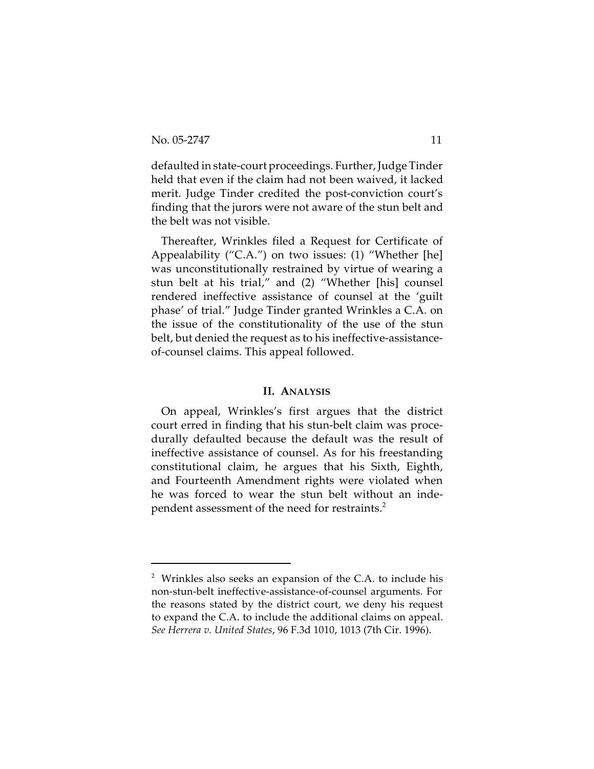defaulted in state-court proceedings. Further, Judge Tinder held that even if the claim had not been waived, it lacked merit. Judge Tinder credited the post-conviction court's finding that the jurors were not aware of the stun belt and the belt was not visible.

Thereafter, Wrinkles filed a Request for Certificate of Appealability ("C.A.") on two issues: (1) "Whether [he] was unconstitutionally restrained by virtue of wearing a stun belt at his trial," and (2) "Whether [his] counsel rendered ineffective assistance of counsel at the 'guilt phase' of trial." Judge Tinder granted Wrinkles a C.A. on the issue of the constitutionality of the use of the stun belt, but denied the request as to his ineffective-assistanceof-counsel claims. This appeal followed.

#### **II. ANALYSIS**

On appeal, Wrinkles's first argues that the district court erred in finding that his stun-belt claim was procedurally defaulted because the default was the result of ineffective assistance of counsel. As for his freestanding constitutional claim, he argues that his Sixth, Eighth, and Fourteenth Amendment rights were violated when he was forced to wear the stun belt without an independent assessment of the need for restraints.<sup>2</sup>

<sup>2</sup> Wrinkles also seeks an expansion of the C.A. to include his non-stun-belt ineffective-assistance-of-counsel arguments*.* For the reasons stated by the district court, we deny his request to expand the C.A. to include the additional claims on appeal. *See Herrera v. United States*, 96 F.3d 1010, 1013 (7th Cir. 1996).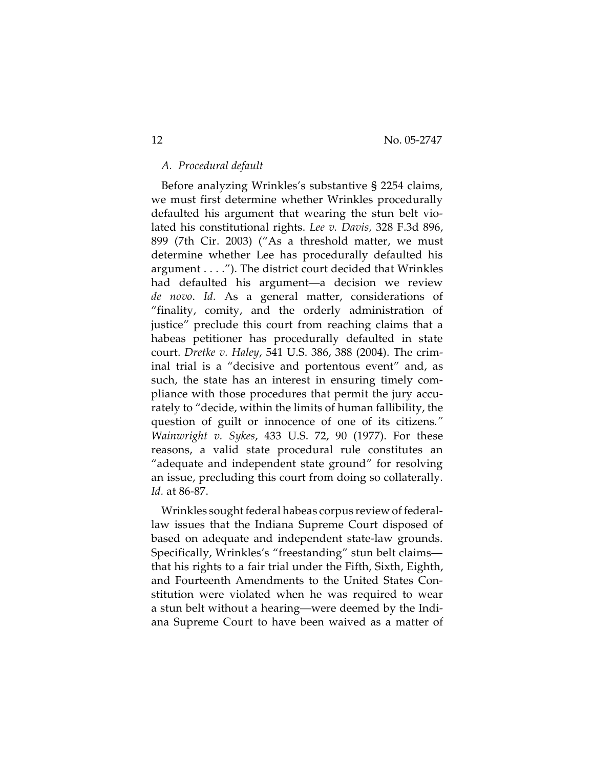# *A. Procedural default*

Before analyzing Wrinkles's substantive § 2254 claims, we must first determine whether Wrinkles procedurally defaulted his argument that wearing the stun belt violated his constitutional rights. *Lee v. Davis,* 328 F.3d 896, 899 (7th Cir. 2003) ("As a threshold matter, we must determine whether Lee has procedurally defaulted his argument . . . ."). The district court decided that Wrinkles had defaulted his argument—a decision we review *de novo*. *Id.* As a general matter, considerations of "finality, comity, and the orderly administration of justice" preclude this court from reaching claims that a habeas petitioner has procedurally defaulted in state court. *Dretke v. Haley*, 541 U.S. 386, 388 (2004). The criminal trial is a "decisive and portentous event" and, as such, the state has an interest in ensuring timely compliance with those procedures that permit the jury accurately to "decide, within the limits of human fallibility, the question of guilt or innocence of one of its citizens*." Wainwright v. Sykes*, 433 U.S. 72, 90 (1977). For these reasons, a valid state procedural rule constitutes an "adequate and independent state ground" for resolving an issue, precluding this court from doing so collaterally. *Id.* at 86-87.

Wrinkles sought federal habeas corpus review of federallaw issues that the Indiana Supreme Court disposed of based on adequate and independent state-law grounds. Specifically, Wrinkles's "freestanding" stun belt claims that his rights to a fair trial under the Fifth, Sixth, Eighth, and Fourteenth Amendments to the United States Constitution were violated when he was required to wear a stun belt without a hearing—were deemed by the Indiana Supreme Court to have been waived as a matter of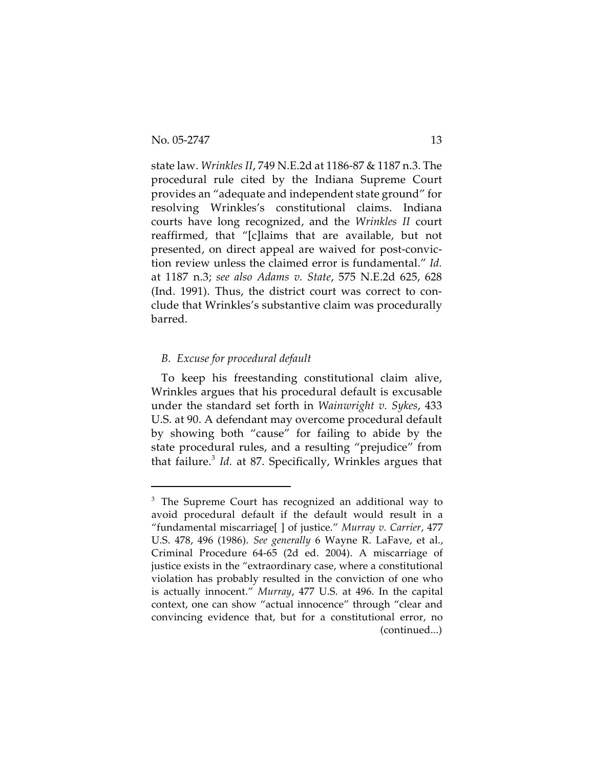state law. *Wrinkles II*, 749 N.E.2d at 1186-87 & 1187 n.3. The procedural rule cited by the Indiana Supreme Court provides an "adequate and independent state ground" for resolving Wrinkles's constitutional claims. Indiana courts have long recognized, and the *Wrinkles II* court reaffirmed, that "[c]laims that are available, but not presented, on direct appeal are waived for post-conviction review unless the claimed error is fundamental." *Id.* at 1187 n.3; *see also Adams v. State*, 575 N.E.2d 625, 628 (Ind. 1991). Thus, the district court was correct to conclude that Wrinkles's substantive claim was procedurally barred.

# *B. Excuse for procedural default*

To keep his freestanding constitutional claim alive, Wrinkles argues that his procedural default is excusable under the standard set forth in *Wainwright v. Sykes*, 433 U.S. at 90. A defendant may overcome procedural default by showing both "cause" for failing to abide by the state procedural rules, and a resulting "prejudice" from that failure.<sup>3</sup> *Id.* at 87. Specifically, Wrinkles argues that

<sup>&</sup>lt;sup>3</sup> The Supreme Court has recognized an additional way to avoid procedural default if the default would result in a "fundamental miscarriage[ ] of justice." *Murray v. Carrier*, 477 U.S. 478, 496 (1986). *See generally* 6 Wayne R. LaFave, et al., Criminal Procedure 64-65 (2d ed. 2004). A miscarriage of justice exists in the "extraordinary case, where a constitutional violation has probably resulted in the conviction of one who is actually innocent." *Murray*, 477 U.S. at 496. In the capital context, one can show "actual innocence" through "clear and convincing evidence that, but for a constitutional error, no (continued...)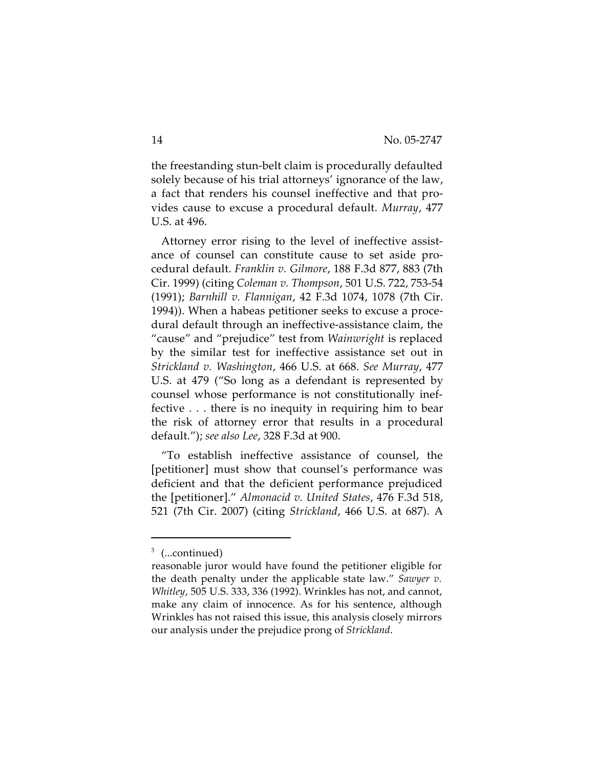the freestanding stun-belt claim is procedurally defaulted solely because of his trial attorneys' ignorance of the law, a fact that renders his counsel ineffective and that provides cause to excuse a procedural default. *Murray*, 477 U.S. at 496.

Attorney error rising to the level of ineffective assistance of counsel can constitute cause to set aside procedural default. *Franklin v. Gilmore*, 188 F.3d 877, 883 (7th Cir. 1999) (citing *Coleman v. Thompson*, 501 U.S. 722, 753-54 (1991); *Barnhill v. Flannigan*, 42 F.3d 1074, 1078 (7th Cir. 1994)). When a habeas petitioner seeks to excuse a procedural default through an ineffective-assistance claim, the "cause" and "prejudice" test from *Wainwright* is replaced by the similar test for ineffective assistance set out in *Strickland v. Washington*, 466 U.S. at 668. *See Murray*, 477 U.S. at 479 ("So long as a defendant is represented by counsel whose performance is not constitutionally ineffective . . . there is no inequity in requiring him to bear the risk of attorney error that results in a procedural default."); *see also Lee*, 328 F.3d at 900.

"To establish ineffective assistance of counsel, the [petitioner] must show that counsel's performance was deficient and that the deficient performance prejudiced the [petitioner]." *Almonacid v. United States*, 476 F.3d 518, 521 (7th Cir. 2007) (citing *Strickland*, 466 U.S. at 687). A

<sup>&</sup>lt;sup>3</sup> (...continued)

reasonable juror would have found the petitioner eligible for the death penalty under the applicable state law." *Sawyer v. Whitley*, 505 U.S. 333, 336 (1992). Wrinkles has not, and cannot, make any claim of innocence. As for his sentence, although Wrinkles has not raised this issue, this analysis closely mirrors our analysis under the prejudice prong of *Strickland*.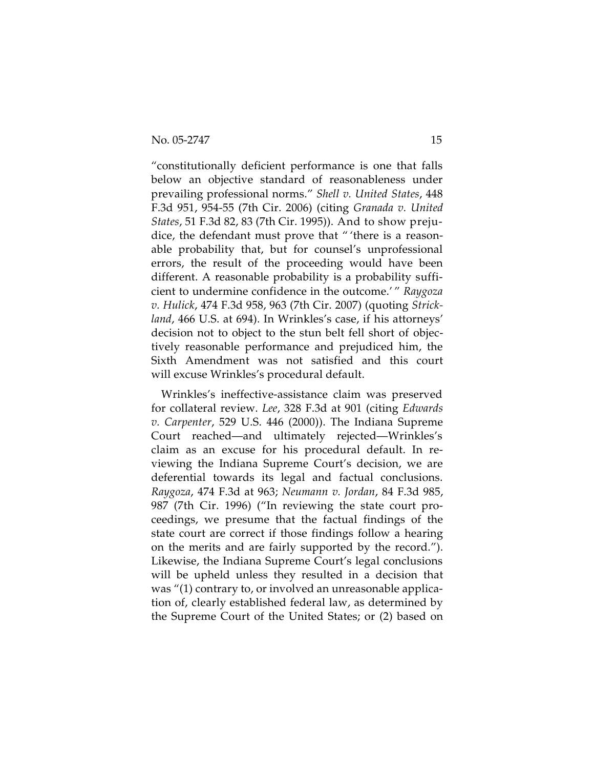"constitutionally deficient performance is one that falls below an objective standard of reasonableness under prevailing professional norms." *Shell v. United States*, 448 F.3d 951, 954-55 (7th Cir. 2006) (citing *Granada v. United States*, 51 F.3d 82, 83 (7th Cir. 1995)). And to show prejudice, the defendant must prove that " 'there is a reasonable probability that, but for counsel's unprofessional errors, the result of the proceeding would have been different. A reasonable probability is a probability sufficient to undermine confidence in the outcome.' " *Raygoza v. Hulick*, 474 F.3d 958, 963 (7th Cir. 2007) (quoting *Strickland*, 466 U.S. at 694). In Wrinkles's case, if his attorneys' decision not to object to the stun belt fell short of objectively reasonable performance and prejudiced him, the Sixth Amendment was not satisfied and this court will excuse Wrinkles's procedural default.

Wrinkles's ineffective-assistance claim was preserved for collateral review. *Lee*, 328 F.3d at 901 (citing *Edwards v. Carpenter*, 529 U.S. 446 (2000)). The Indiana Supreme Court reached—and ultimately rejected—Wrinkles's claim as an excuse for his procedural default. In reviewing the Indiana Supreme Court's decision, we are deferential towards its legal and factual conclusions. *Raygoza*, 474 F.3d at 963; *Neumann v. Jordan*, 84 F.3d 985, 987 (7th Cir. 1996) ("In reviewing the state court proceedings, we presume that the factual findings of the state court are correct if those findings follow a hearing on the merits and are fairly supported by the record."). Likewise, the Indiana Supreme Court's legal conclusions will be upheld unless they resulted in a decision that was "(1) contrary to, or involved an unreasonable application of, clearly established federal law, as determined by the Supreme Court of the United States; or (2) based on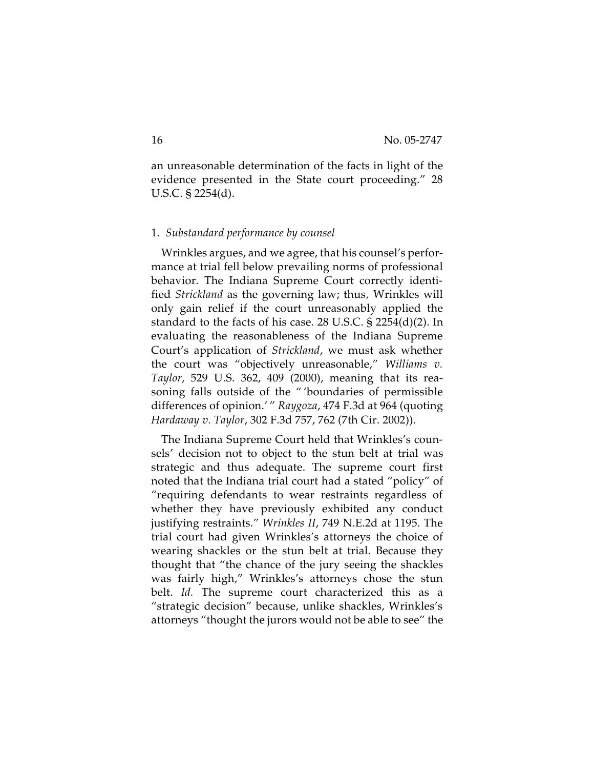an unreasonable determination of the facts in light of the evidence presented in the State court proceeding." 28 U.S.C. § 2254(d).

#### 1. *Substandard performance by counsel*

Wrinkles argues, and we agree, that his counsel's performance at trial fell below prevailing norms of professional behavior. The Indiana Supreme Court correctly identified *Strickland* as the governing law; thus*,* Wrinkles will only gain relief if the court unreasonably applied the standard to the facts of his case. 28 U.S.C. § 2254(d)(2). In evaluating the reasonableness of the Indiana Supreme Court's application of *Strickland*, we must ask whether the court was "objectively unreasonable," *Williams v. Taylor*, 529 U.S. 362, 409 (2000), meaning that its reasoning falls outside of the " 'boundaries of permissible differences of opinion.' " *Raygoza*, 474 F.3d at 964 (quoting *Hardaway v. Taylor*, 302 F.3d 757, 762 (7th Cir. 2002)).

The Indiana Supreme Court held that Wrinkles's counsels' decision not to object to the stun belt at trial was strategic and thus adequate. The supreme court first noted that the Indiana trial court had a stated "policy" of "requiring defendants to wear restraints regardless of whether they have previously exhibited any conduct justifying restraints." *Wrinkles II*, 749 N.E.2d at 1195. The trial court had given Wrinkles's attorneys the choice of wearing shackles or the stun belt at trial. Because they thought that "the chance of the jury seeing the shackles was fairly high," Wrinkles's attorneys chose the stun belt. *Id.* The supreme court characterized this as a "strategic decision" because, unlike shackles, Wrinkles's attorneys "thought the jurors would not be able to see" the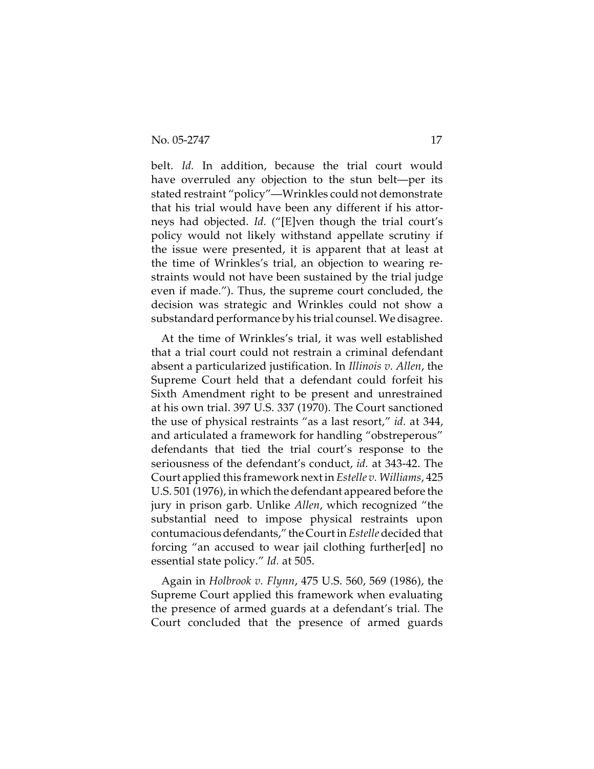belt. *Id.* In addition, because the trial court would have overruled any objection to the stun belt—per its stated restraint "policy"—Wrinkles could not demonstrate that his trial would have been any different if his attorneys had objected. *Id.* ("[E]ven though the trial court's policy would not likely withstand appellate scrutiny if the issue were presented, it is apparent that at least at the time of Wrinkles's trial, an objection to wearing restraints would not have been sustained by the trial judge even if made."). Thus, the supreme court concluded, the decision was strategic and Wrinkles could not show a substandard performance by his trial counsel. We disagree.

At the time of Wrinkles's trial, it was well established that a trial court could not restrain a criminal defendant absent a particularized justification. In *Illinois v. Allen*, the Supreme Court held that a defendant could forfeit his Sixth Amendment right to be present and unrestrained at his own trial. 397 U.S. 337 (1970). The Court sanctioned the use of physical restraints "as a last resort," *id.* at 344, and articulated a framework for handling "obstreperous" defendants that tied the trial court's response to the seriousness of the defendant's conduct, *id.* at 343-42. The Court applied this framework next in *Estelle v. Williams*, 425 U.S. 501 (1976), in which the defendant appeared before the jury in prison garb. Unlike *Allen*, which recognized "the substantial need to impose physical restraints upon contumacious defendants," the Court in *Estelle* decided that forcing "an accused to wear jail clothing further[ed] no essential state policy." *Id.* at 505.

Again in *Holbrook v. Flynn*, 475 U.S. 560, 569 (1986), the Supreme Court applied this framework when evaluating the presence of armed guards at a defendant's trial. The Court concluded that the presence of armed guards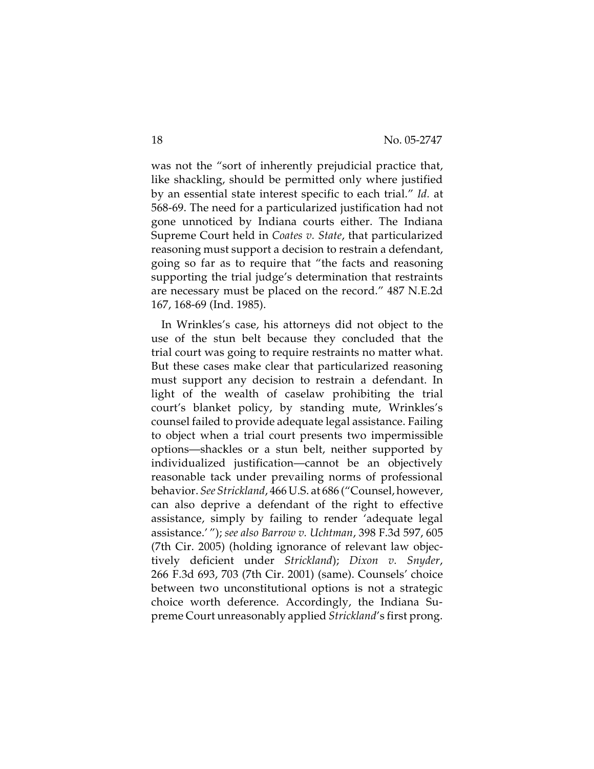was not the "sort of inherently prejudicial practice that, like shackling, should be permitted only where justified by an essential state interest specific to each trial." *Id.* at 568-69. The need for a particularized justification had not gone unnoticed by Indiana courts either. The Indiana Supreme Court held in *Coates v. State*, that particularized reasoning must support a decision to restrain a defendant, going so far as to require that "the facts and reasoning supporting the trial judge's determination that restraints are necessary must be placed on the record." 487 N.E.2d 167, 168-69 (Ind. 1985).

In Wrinkles's case, his attorneys did not object to the use of the stun belt because they concluded that the trial court was going to require restraints no matter what. But these cases make clear that particularized reasoning must support any decision to restrain a defendant. In light of the wealth of caselaw prohibiting the trial court's blanket policy, by standing mute, Wrinkles's counsel failed to provide adequate legal assistance. Failing to object when a trial court presents two impermissible options—shackles or a stun belt, neither supported by individualized justification—cannot be an objectively reasonable tack under prevailing norms of professional behavior. *See Strickland*, 466 U.S. at 686 ("Counsel, however, can also deprive a defendant of the right to effective assistance, simply by failing to render 'adequate legal assistance.' "); *see also Barrow v. Uchtman*, 398 F.3d 597, 605 (7th Cir. 2005) (holding ignorance of relevant law objectively deficient under *Strickland*); *Dixon v. Snyder*, 266 F.3d 693, 703 (7th Cir. 2001) (same). Counsels' choice between two unconstitutional options is not a strategic choice worth deference. Accordingly, the Indiana Supreme Court unreasonably applied *Strickland*'s first prong.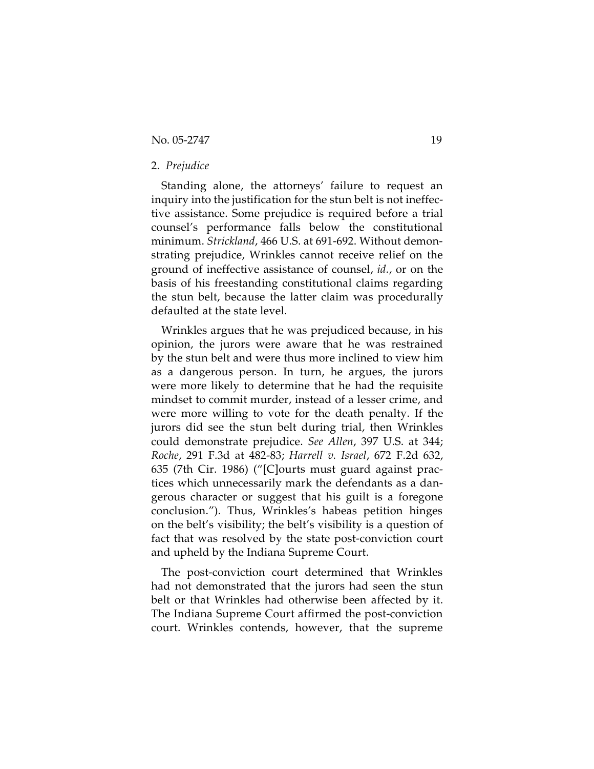# 2. *Prejudice*

Standing alone, the attorneys' failure to request an inquiry into the justification for the stun belt is not ineffective assistance. Some prejudice is required before a trial counsel's performance falls below the constitutional minimum. *Strickland*, 466 U.S. at 691-692. Without demonstrating prejudice, Wrinkles cannot receive relief on the ground of ineffective assistance of counsel, *id.*, or on the basis of his freestanding constitutional claims regarding the stun belt, because the latter claim was procedurally defaulted at the state level.

Wrinkles argues that he was prejudiced because, in his opinion, the jurors were aware that he was restrained by the stun belt and were thus more inclined to view him as a dangerous person. In turn, he argues, the jurors were more likely to determine that he had the requisite mindset to commit murder, instead of a lesser crime, and were more willing to vote for the death penalty. If the jurors did see the stun belt during trial, then Wrinkles could demonstrate prejudice. *See Allen*, 397 U.S. at 344; *Roche*, 291 F.3d at 482-83; *Harrell v. Israel*, 672 F.2d 632, 635 (7th Cir. 1986) ("[C]ourts must guard against practices which unnecessarily mark the defendants as a dangerous character or suggest that his guilt is a foregone conclusion."). Thus, Wrinkles's habeas petition hinges on the belt's visibility; the belt's visibility is a question of fact that was resolved by the state post-conviction court and upheld by the Indiana Supreme Court.

The post-conviction court determined that Wrinkles had not demonstrated that the jurors had seen the stun belt or that Wrinkles had otherwise been affected by it. The Indiana Supreme Court affirmed the post-conviction court. Wrinkles contends, however, that the supreme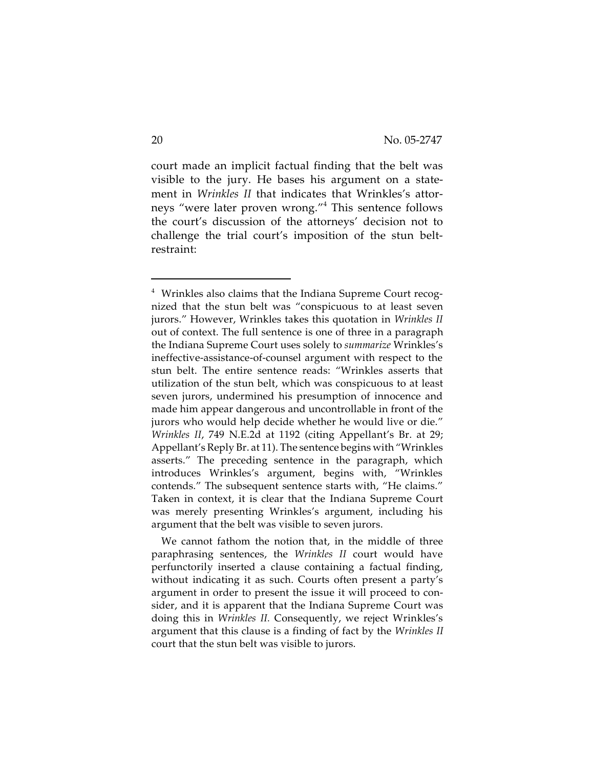court made an implicit factual finding that the belt was visible to the jury. He bases his argument on a statement in *Wrinkles II* that indicates that Wrinkles's attorneys "were later proven wrong."<sup>4</sup> This sentence follows the court's discussion of the attorneys' decision not to challenge the trial court's imposition of the stun beltrestraint:

<sup>4</sup> Wrinkles also claims that the Indiana Supreme Court recognized that the stun belt was "conspicuous to at least seven jurors." However, Wrinkles takes this quotation in *Wrinkles II* out of context. The full sentence is one of three in a paragraph the Indiana Supreme Court uses solely to *summarize* Wrinkles's ineffective-assistance-of-counsel argument with respect to the stun belt. The entire sentence reads: "Wrinkles asserts that utilization of the stun belt, which was conspicuous to at least seven jurors, undermined his presumption of innocence and made him appear dangerous and uncontrollable in front of the jurors who would help decide whether he would live or die." *Wrinkles II*, 749 N.E.2d at 1192 (citing Appellant's Br. at 29; Appellant's Reply Br. at 11). The sentence begins with "Wrinkles asserts." The preceding sentence in the paragraph, which introduces Wrinkles's argument, begins with, "Wrinkles contends." The subsequent sentence starts with, "He claims." Taken in context, it is clear that the Indiana Supreme Court was merely presenting Wrinkles's argument, including his argument that the belt was visible to seven jurors.

We cannot fathom the notion that, in the middle of three paraphrasing sentences, the *Wrinkles II* court would have perfunctorily inserted a clause containing a factual finding, without indicating it as such. Courts often present a party's argument in order to present the issue it will proceed to consider, and it is apparent that the Indiana Supreme Court was doing this in *Wrinkles II.* Consequently, we reject Wrinkles's argument that this clause is a finding of fact by the *Wrinkles II* court that the stun belt was visible to jurors.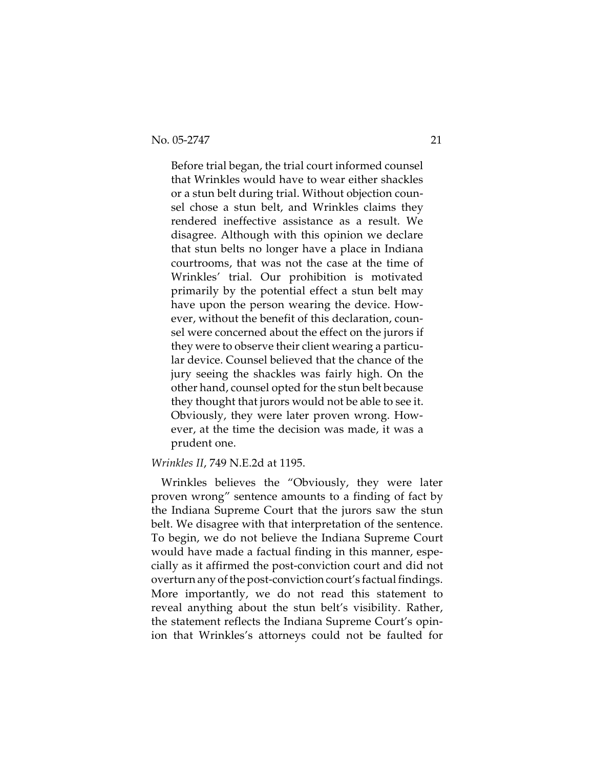Before trial began, the trial court informed counsel that Wrinkles would have to wear either shackles or a stun belt during trial. Without objection counsel chose a stun belt, and Wrinkles claims they rendered ineffective assistance as a result. We disagree. Although with this opinion we declare that stun belts no longer have a place in Indiana courtrooms, that was not the case at the time of Wrinkles' trial. Our prohibition is motivated primarily by the potential effect a stun belt may have upon the person wearing the device. However, without the benefit of this declaration, counsel were concerned about the effect on the jurors if they were to observe their client wearing a particular device. Counsel believed that the chance of the jury seeing the shackles was fairly high. On the other hand, counsel opted for the stun belt because they thought that jurors would not be able to see it. Obviously, they were later proven wrong. However, at the time the decision was made, it was a prudent one.

#### *Wrinkles II*, 749 N.E.2d at 1195.

Wrinkles believes the "Obviously, they were later proven wrong" sentence amounts to a finding of fact by the Indiana Supreme Court that the jurors saw the stun belt. We disagree with that interpretation of the sentence. To begin, we do not believe the Indiana Supreme Court would have made a factual finding in this manner, especially as it affirmed the post-conviction court and did not overturn any of the post-conviction court's factual findings. More importantly, we do not read this statement to reveal anything about the stun belt's visibility. Rather, the statement reflects the Indiana Supreme Court's opinion that Wrinkles's attorneys could not be faulted for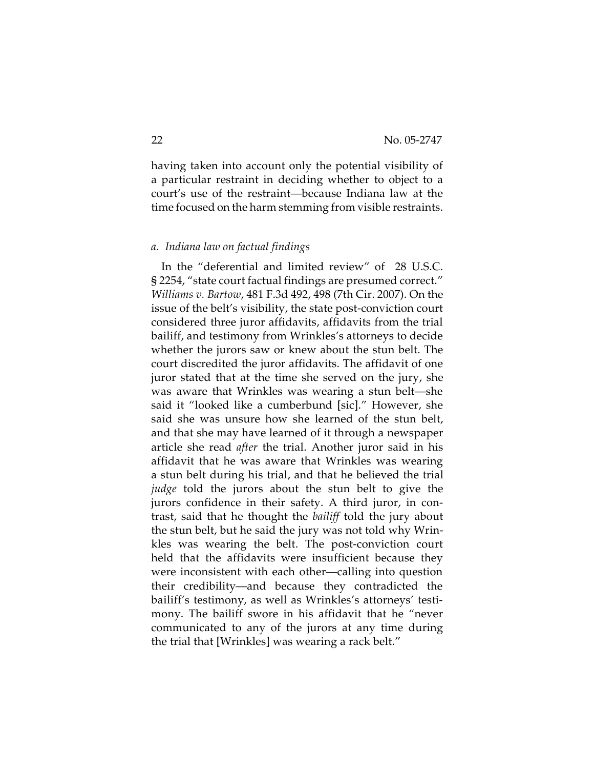having taken into account only the potential visibility of a particular restraint in deciding whether to object to a court's use of the restraint—because Indiana law at the time focused on the harm stemming from visible restraints.

#### *a. Indiana law on factual findings*

In the "deferential and limited review" of 28 U.S.C. § 2254, "state court factual findings are presumed correct." *Williams v. Bartow*, 481 F.3d 492, 498 (7th Cir. 2007). On the issue of the belt's visibility, the state post-conviction court considered three juror affidavits, affidavits from the trial bailiff, and testimony from Wrinkles's attorneys to decide whether the jurors saw or knew about the stun belt. The court discredited the juror affidavits. The affidavit of one juror stated that at the time she served on the jury, she was aware that Wrinkles was wearing a stun belt—she said it "looked like a cumberbund [sic]." However, she said she was unsure how she learned of the stun belt, and that she may have learned of it through a newspaper article she read *after* the trial. Another juror said in his affidavit that he was aware that Wrinkles was wearing a stun belt during his trial, and that he believed the trial *judge* told the jurors about the stun belt to give the jurors confidence in their safety. A third juror, in contrast, said that he thought the *bailiff* told the jury about the stun belt, but he said the jury was not told why Wrinkles was wearing the belt. The post-conviction court held that the affidavits were insufficient because they were inconsistent with each other—calling into question their credibility—and because they contradicted the bailiff's testimony, as well as Wrinkles's attorneys' testimony. The bailiff swore in his affidavit that he "never communicated to any of the jurors at any time during the trial that [Wrinkles] was wearing a rack belt."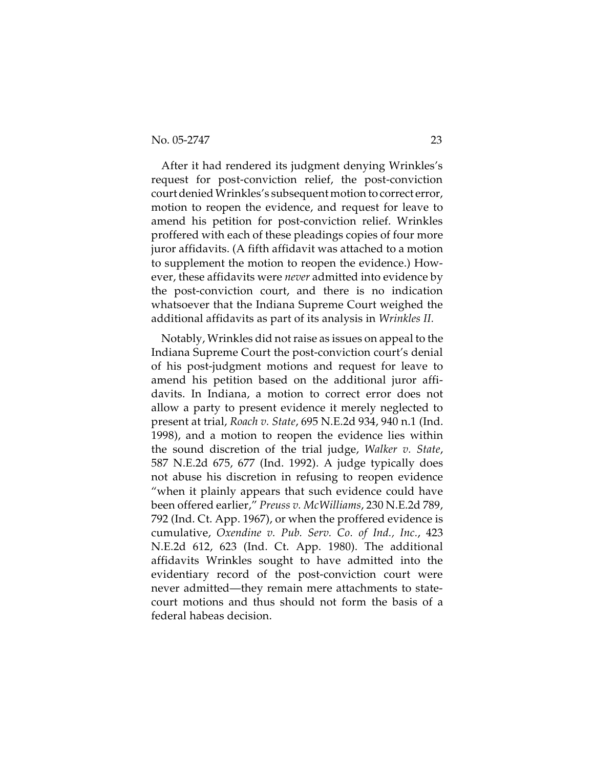After it had rendered its judgment denying Wrinkles's request for post-conviction relief, the post-conviction court denied Wrinkles's subsequent motion to correct error, motion to reopen the evidence, and request for leave to amend his petition for post-conviction relief. Wrinkles proffered with each of these pleadings copies of four more juror affidavits. (A fifth affidavit was attached to a motion to supplement the motion to reopen the evidence.) However, these affidavits were *never* admitted into evidence by the post-conviction court, and there is no indication whatsoever that the Indiana Supreme Court weighed the additional affidavits as part of its analysis in *Wrinkles II.*

Notably, Wrinkles did not raise as issues on appeal to the Indiana Supreme Court the post-conviction court's denial of his post-judgment motions and request for leave to amend his petition based on the additional juror affidavits. In Indiana, a motion to correct error does not allow a party to present evidence it merely neglected to present at trial, *Roach v. State*, 695 N.E.2d 934, 940 n.1 (Ind. 1998), and a motion to reopen the evidence lies within the sound discretion of the trial judge, *Walker v. State*, 587 N.E.2d 675, 677 (Ind. 1992). A judge typically does not abuse his discretion in refusing to reopen evidence "when it plainly appears that such evidence could have been offered earlier," *Preuss v. McWilliams*, 230 N.E.2d 789, 792 (Ind. Ct. App. 1967), or when the proffered evidence is cumulative, *Oxendine v. Pub. Serv. Co. of Ind., Inc.*, 423 N.E.2d 612, 623 (Ind. Ct. App. 1980). The additional affidavits Wrinkles sought to have admitted into the evidentiary record of the post-conviction court were never admitted—they remain mere attachments to statecourt motions and thus should not form the basis of a federal habeas decision.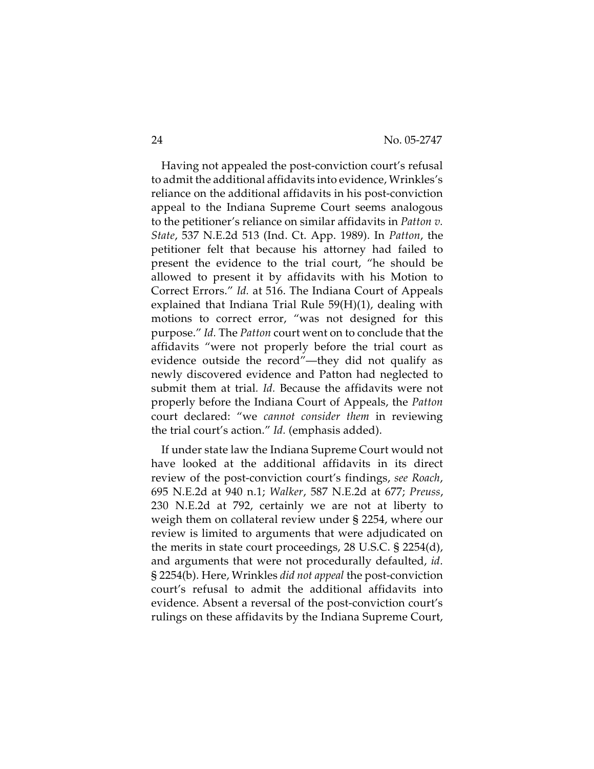Having not appealed the post-conviction court's refusal to admit the additional affidavits into evidence, Wrinkles's reliance on the additional affidavits in his post-conviction appeal to the Indiana Supreme Court seems analogous to the petitioner's reliance on similar affidavits in *Patton v. State*, 537 N.E.2d 513 (Ind. Ct. App. 1989). In *Patton*, the petitioner felt that because his attorney had failed to present the evidence to the trial court, "he should be allowed to present it by affidavits with his Motion to Correct Errors." *Id.* at 516. The Indiana Court of Appeals explained that Indiana Trial Rule 59(H)(1), dealing with motions to correct error, "was not designed for this purpose." *Id.* The *Patton* court went on to conclude that the affidavits "were not properly before the trial court as evidence outside the record"—they did not qualify as newly discovered evidence and Patton had neglected to submit them at trial*. Id.* Because the affidavits were not properly before the Indiana Court of Appeals, the *Patton* court declared: "we *cannot consider them* in reviewing the trial court's action." *Id.* (emphasis added).

If under state law the Indiana Supreme Court would not have looked at the additional affidavits in its direct review of the post-conviction court's findings, *see Roach*, 695 N.E.2d at 940 n.1; *Walker*, 587 N.E.2d at 677; *Preuss*, 230 N.E.2d at 792, certainly we are not at liberty to weigh them on collateral review under § 2254, where our review is limited to arguments that were adjudicated on the merits in state court proceedings, 28 U.S.C. § 2254(d), and arguments that were not procedurally defaulted, *id*. § 2254(b). Here, Wrinkles *did not appeal* the post-conviction court's refusal to admit the additional affidavits into evidence. Absent a reversal of the post-conviction court's rulings on these affidavits by the Indiana Supreme Court,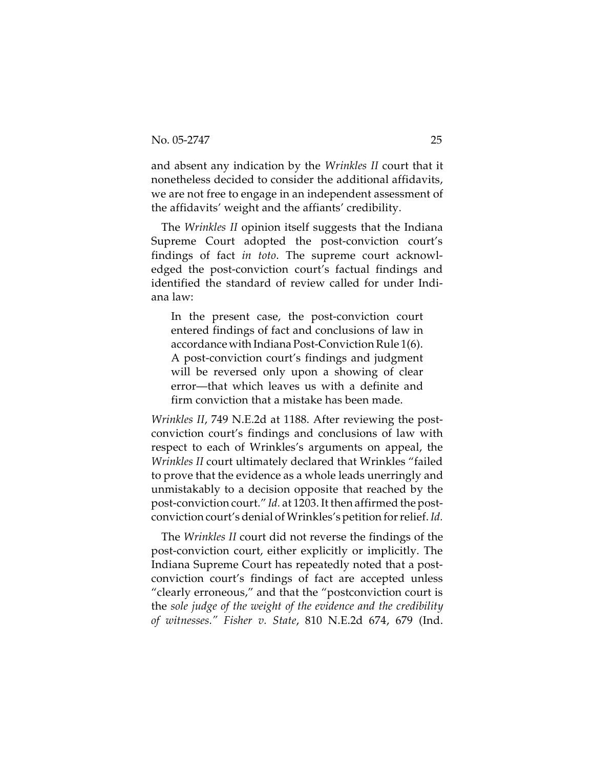and absent any indication by the *Wrinkles II* court that it nonetheless decided to consider the additional affidavits, we are not free to engage in an independent assessment of the affidavits' weight and the affiants' credibility.

The *Wrinkles II* opinion itself suggests that the Indiana Supreme Court adopted the post-conviction court's findings of fact *in toto*. The supreme court acknowledged the post-conviction court's factual findings and identified the standard of review called for under Indiana law:

In the present case, the post-conviction court entered findings of fact and conclusions of law in accordance with Indiana Post-Conviction Rule 1(6). A post-conviction court's findings and judgment will be reversed only upon a showing of clear error—that which leaves us with a definite and firm conviction that a mistake has been made.

*Wrinkles II*, 749 N.E.2d at 1188. After reviewing the postconviction court's findings and conclusions of law with respect to each of Wrinkles's arguments on appeal, the *Wrinkles II* court ultimately declared that Wrinkles "failed to prove that the evidence as a whole leads unerringly and unmistakably to a decision opposite that reached by the post-conviction court." *Id.* at 1203. It then affirmed the postconviction court's denial of Wrinkles's petition for relief. *Id.*

The *Wrinkles II* court did not reverse the findings of the post-conviction court, either explicitly or implicitly. The Indiana Supreme Court has repeatedly noted that a postconviction court's findings of fact are accepted unless "clearly erroneous," and that the "postconviction court is the *sole judge of the weight of the evidence and the credibility of witnesses." Fisher v. State*, 810 N.E.2d 674, 679 (Ind.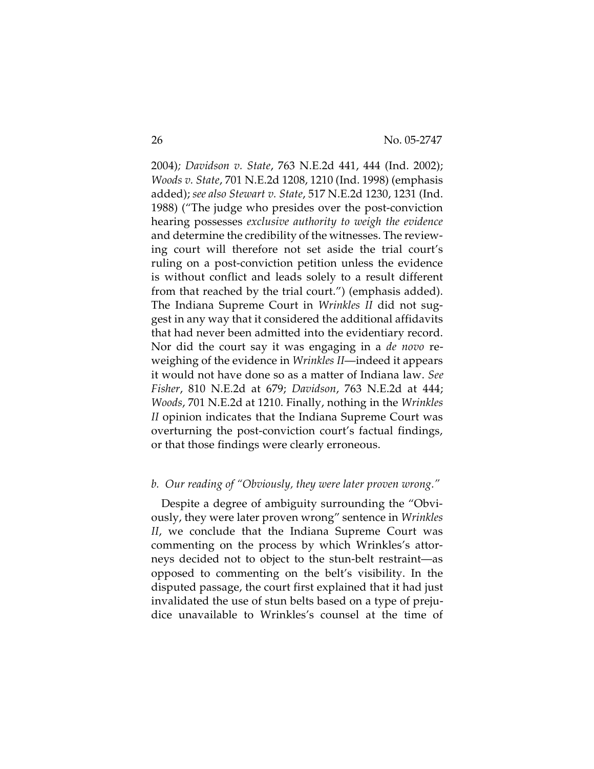2004)*; Davidson v. State*, 763 N.E.2d 441, 444 (Ind. 2002); *Woods v. State*, 701 N.E.2d 1208, 1210 (Ind. 1998) (emphasis added); *see also Stewart v. State*, 517 N.E.2d 1230, 1231 (Ind. 1988) ("The judge who presides over the post-conviction hearing possesses *exclusive authority to weigh the evidence* and determine the credibility of the witnesses. The reviewing court will therefore not set aside the trial court's ruling on a post-conviction petition unless the evidence is without conflict and leads solely to a result different from that reached by the trial court.") (emphasis added). The Indiana Supreme Court in *Wrinkles II* did not suggest in any way that it considered the additional affidavits that had never been admitted into the evidentiary record. Nor did the court say it was engaging in a *de novo* reweighing of the evidence in *Wrinkles II*—indeed it appears it would not have done so as a matter of Indiana law. *See Fisher*, 810 N.E.2d at 679; *Davidson*, 763 N.E.2d at 444; *Woods*, 701 N.E.2d at 1210. Finally, nothing in the *Wrinkles II* opinion indicates that the Indiana Supreme Court was overturning the post-conviction court's factual findings, or that those findings were clearly erroneous.

# *b. Our reading of "Obviously, they were later proven wrong."*

Despite a degree of ambiguity surrounding the "Obviously, they were later proven wrong" sentence in *Wrinkles II*, we conclude that the Indiana Supreme Court was commenting on the process by which Wrinkles's attorneys decided not to object to the stun-belt restraint—as opposed to commenting on the belt's visibility. In the disputed passage, the court first explained that it had just invalidated the use of stun belts based on a type of prejudice unavailable to Wrinkles's counsel at the time of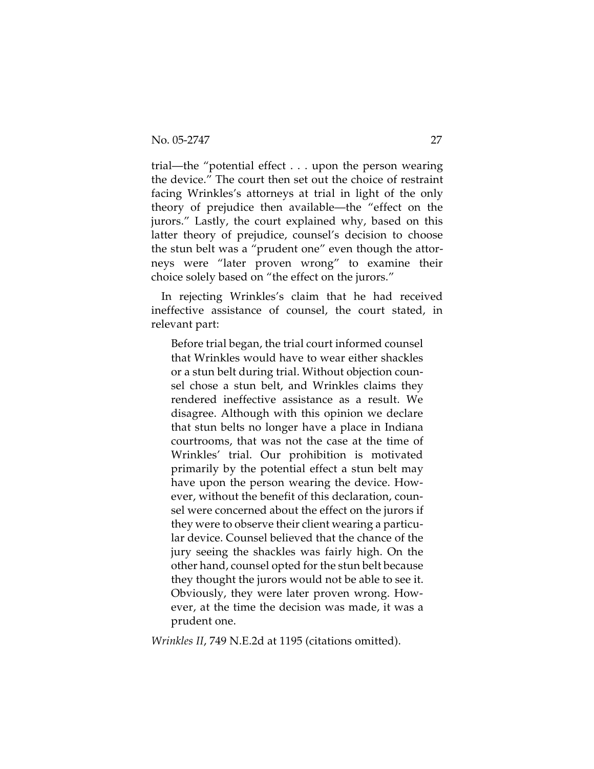trial—the "potential effect . . . upon the person wearing the device." The court then set out the choice of restraint facing Wrinkles's attorneys at trial in light of the only theory of prejudice then available—the "effect on the jurors." Lastly, the court explained why, based on this latter theory of prejudice, counsel's decision to choose the stun belt was a "prudent one" even though the attorneys were "later proven wrong" to examine their choice solely based on "the effect on the jurors."

In rejecting Wrinkles's claim that he had received ineffective assistance of counsel, the court stated, in relevant part:

Before trial began, the trial court informed counsel that Wrinkles would have to wear either shackles or a stun belt during trial. Without objection counsel chose a stun belt, and Wrinkles claims they rendered ineffective assistance as a result. We disagree. Although with this opinion we declare that stun belts no longer have a place in Indiana courtrooms, that was not the case at the time of Wrinkles' trial. Our prohibition is motivated primarily by the potential effect a stun belt may have upon the person wearing the device. However, without the benefit of this declaration, counsel were concerned about the effect on the jurors if they were to observe their client wearing a particular device. Counsel believed that the chance of the jury seeing the shackles was fairly high. On the other hand, counsel opted for the stun belt because they thought the jurors would not be able to see it. Obviously, they were later proven wrong. However, at the time the decision was made, it was a prudent one.

*Wrinkles II*, 749 N.E.2d at 1195 (citations omitted).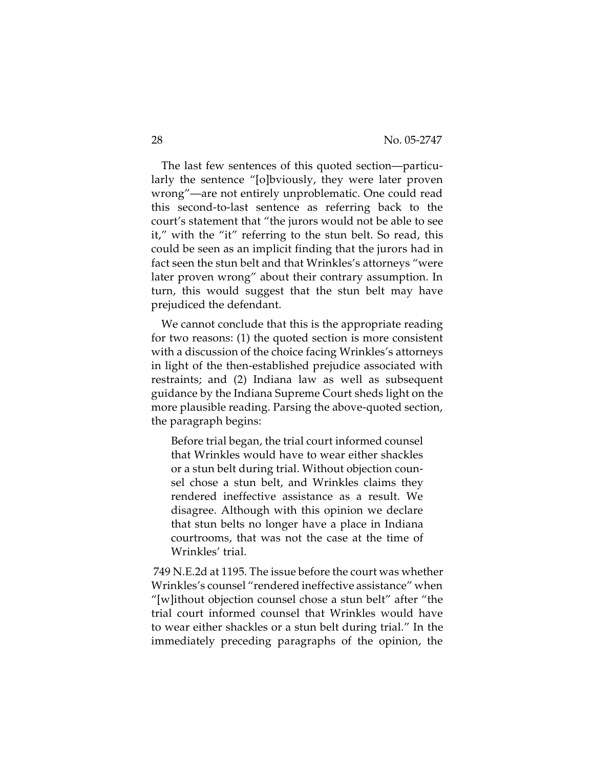The last few sentences of this quoted section—particularly the sentence "[o]bviously, they were later proven wrong"—are not entirely unproblematic. One could read this second-to-last sentence as referring back to the court's statement that "the jurors would not be able to see it," with the "it" referring to the stun belt. So read, this could be seen as an implicit finding that the jurors had in fact seen the stun belt and that Wrinkles's attorneys "were later proven wrong" about their contrary assumption. In turn, this would suggest that the stun belt may have prejudiced the defendant.

We cannot conclude that this is the appropriate reading for two reasons: (1) the quoted section is more consistent with a discussion of the choice facing Wrinkles's attorneys in light of the then-established prejudice associated with restraints; and (2) Indiana law as well as subsequent guidance by the Indiana Supreme Court sheds light on the more plausible reading. Parsing the above-quoted section, the paragraph begins:

Before trial began, the trial court informed counsel that Wrinkles would have to wear either shackles or a stun belt during trial. Without objection counsel chose a stun belt, and Wrinkles claims they rendered ineffective assistance as a result. We disagree. Although with this opinion we declare that stun belts no longer have a place in Indiana courtrooms, that was not the case at the time of Wrinkles' trial.

 749 N.E.2d at 1195. The issue before the court was whether Wrinkles's counsel "rendered ineffective assistance" when "[w]ithout objection counsel chose a stun belt" after "the trial court informed counsel that Wrinkles would have to wear either shackles or a stun belt during trial." In the immediately preceding paragraphs of the opinion, the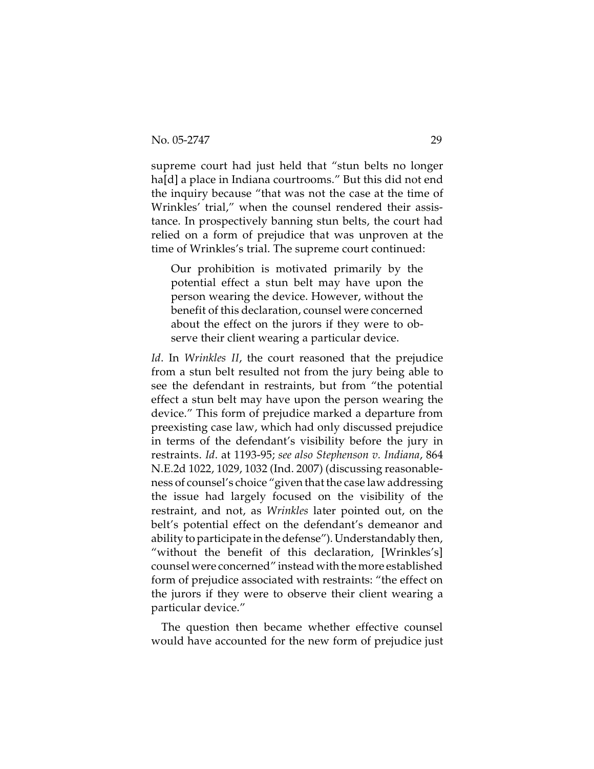supreme court had just held that "stun belts no longer ha[d] a place in Indiana courtrooms." But this did not end the inquiry because "that was not the case at the time of Wrinkles' trial," when the counsel rendered their assistance. In prospectively banning stun belts, the court had relied on a form of prejudice that was unproven at the time of Wrinkles's trial. The supreme court continued:

Our prohibition is motivated primarily by the potential effect a stun belt may have upon the person wearing the device. However, without the benefit of this declaration, counsel were concerned about the effect on the jurors if they were to observe their client wearing a particular device.

*Id*. In *Wrinkles II*, the court reasoned that the prejudice from a stun belt resulted not from the jury being able to see the defendant in restraints, but from "the potential effect a stun belt may have upon the person wearing the device." This form of prejudice marked a departure from preexisting case law, which had only discussed prejudice in terms of the defendant's visibility before the jury in restraints. *Id*. at 1193-95; *see also Stephenson v. Indiana*, 864 N.E.2d 1022, 1029, 1032 (Ind. 2007) (discussing reasonableness of counsel's choice "given that the case law addressing the issue had largely focused on the visibility of the restraint, and not, as *Wrinkles* later pointed out, on the belt's potential effect on the defendant's demeanor and ability to participate in the defense"). Understandably then, "without the benefit of this declaration, [Wrinkles's] counsel were concerned" instead with the more established form of prejudice associated with restraints: "the effect on the jurors if they were to observe their client wearing a particular device."

The question then became whether effective counsel would have accounted for the new form of prejudice just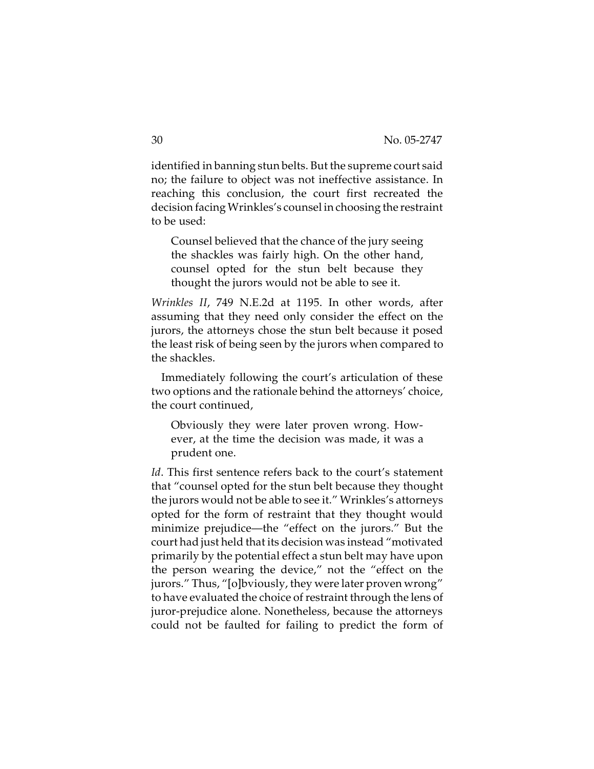identified in banning stun belts. But the supreme court said no; the failure to object was not ineffective assistance. In reaching this conclusion, the court first recreated the decision facing Wrinkles's counsel in choosing the restraint to be used:

Counsel believed that the chance of the jury seeing the shackles was fairly high. On the other hand, counsel opted for the stun belt because they thought the jurors would not be able to see it.

*Wrinkles II*, 749 N.E.2d at 1195. In other words, after assuming that they need only consider the effect on the jurors, the attorneys chose the stun belt because it posed the least risk of being seen by the jurors when compared to the shackles.

Immediately following the court's articulation of these two options and the rationale behind the attorneys' choice, the court continued,

Obviously they were later proven wrong. However, at the time the decision was made, it was a prudent one.

*Id*. This first sentence refers back to the court's statement that "counsel opted for the stun belt because they thought the jurors would not be able to see it." Wrinkles's attorneys opted for the form of restraint that they thought would minimize prejudice—the "effect on the jurors." But the court had just held that its decision was instead "motivated primarily by the potential effect a stun belt may have upon the person wearing the device," not the "effect on the jurors." Thus, "[o]bviously, they were later proven wrong" to have evaluated the choice of restraint through the lens of juror-prejudice alone. Nonetheless, because the attorneys could not be faulted for failing to predict the form of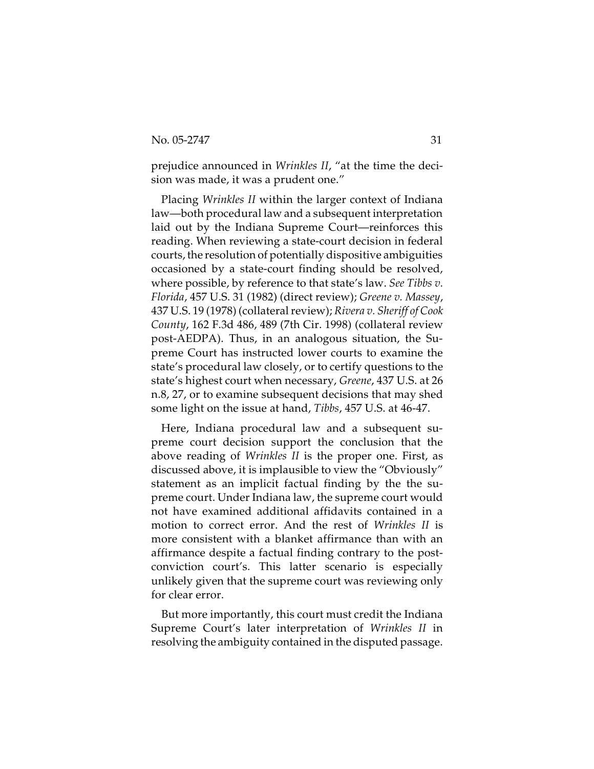prejudice announced in *Wrinkles II*, "at the time the decision was made, it was a prudent one."

Placing *Wrinkles II* within the larger context of Indiana law—both procedural law and a subsequent interpretation laid out by the Indiana Supreme Court—reinforces this reading. When reviewing a state-court decision in federal courts, the resolution of potentially dispositive ambiguities occasioned by a state-court finding should be resolved, where possible, by reference to that state's law. *See Tibbs v. Florida*, 457 U.S. 31 (1982) (direct review); *Greene v. Massey*, 437 U.S. 19 (1978) (collateral review); *Rivera v. Sheriff of Cook County*, 162 F.3d 486, 489 (7th Cir. 1998) (collateral review post-AEDPA). Thus, in an analogous situation, the Supreme Court has instructed lower courts to examine the state's procedural law closely, or to certify questions to the state's highest court when necessary, *Greene*, 437 U.S. at 26 n.8, 27, or to examine subsequent decisions that may shed some light on the issue at hand, *Tibbs*, 457 U.S. at 46-47.

Here, Indiana procedural law and a subsequent supreme court decision support the conclusion that the above reading of *Wrinkles II* is the proper one. First, as discussed above, it is implausible to view the "Obviously" statement as an implicit factual finding by the the supreme court. Under Indiana law, the supreme court would not have examined additional affidavits contained in a motion to correct error. And the rest of *Wrinkles II* is more consistent with a blanket affirmance than with an affirmance despite a factual finding contrary to the postconviction court's. This latter scenario is especially unlikely given that the supreme court was reviewing only for clear error.

But more importantly, this court must credit the Indiana Supreme Court's later interpretation of *Wrinkles II* in resolving the ambiguity contained in the disputed passage.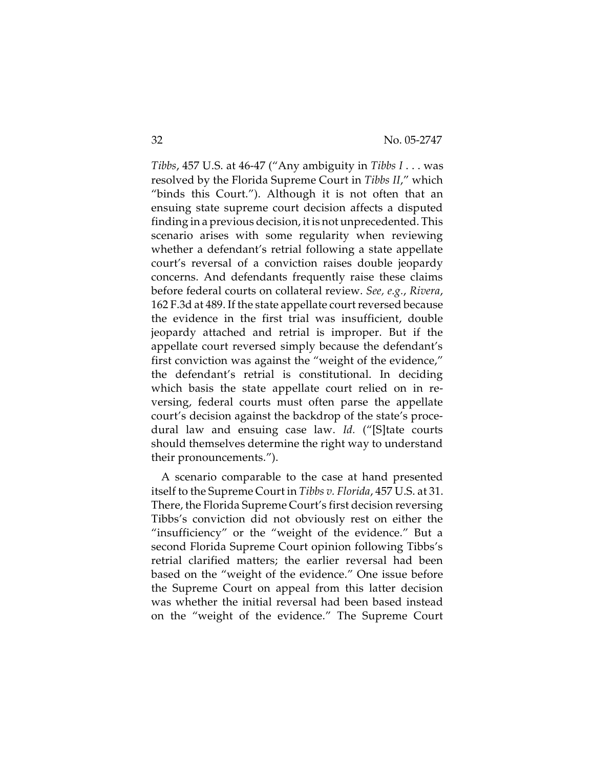*Tibbs*, 457 U.S. at 46-47 ("Any ambiguity in *Tibbs I* . . . was resolved by the Florida Supreme Court in *Tibbs II*," which "binds this Court."). Although it is not often that an ensuing state supreme court decision affects a disputed finding in a previous decision, it is not unprecedented. This scenario arises with some regularity when reviewing whether a defendant's retrial following a state appellate court's reversal of a conviction raises double jeopardy concerns. And defendants frequently raise these claims before federal courts on collateral review. *See, e.g.*, *Rivera*, 162 F.3d at 489. If the state appellate court reversed because the evidence in the first trial was insufficient, double jeopardy attached and retrial is improper. But if the appellate court reversed simply because the defendant's first conviction was against the "weight of the evidence," the defendant's retrial is constitutional. In deciding which basis the state appellate court relied on in reversing, federal courts must often parse the appellate court's decision against the backdrop of the state's procedural law and ensuing case law. *Id.* ("[S]tate courts should themselves determine the right way to understand their pronouncements.").

A scenario comparable to the case at hand presented itself to the Supreme Court in *Tibbs v. Florida*, 457 U.S. at 31. There, the Florida Supreme Court's first decision reversing Tibbs's conviction did not obviously rest on either the "insufficiency" or the "weight of the evidence." But a second Florida Supreme Court opinion following Tibbs's retrial clarified matters; the earlier reversal had been based on the "weight of the evidence." One issue before the Supreme Court on appeal from this latter decision was whether the initial reversal had been based instead on the "weight of the evidence." The Supreme Court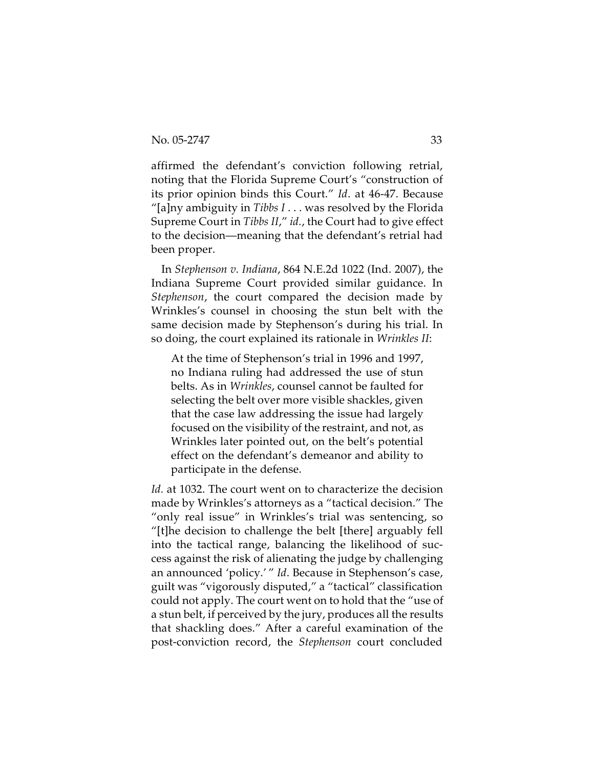affirmed the defendant's conviction following retrial, noting that the Florida Supreme Court's "construction of its prior opinion binds this Court." *Id*. at 46-47. Because "[a]ny ambiguity in *Tibbs I* . . . was resolved by the Florida Supreme Court in *Tibbs II*," *id.*, the Court had to give effect to the decision—meaning that the defendant's retrial had been proper.

In *Stephenson v. Indiana*, 864 N.E.2d 1022 (Ind. 2007), the Indiana Supreme Court provided similar guidance. In *Stephenson*, the court compared the decision made by Wrinkles's counsel in choosing the stun belt with the same decision made by Stephenson's during his trial. In so doing, the court explained its rationale in *Wrinkles II*:

At the time of Stephenson's trial in 1996 and 1997, no Indiana ruling had addressed the use of stun belts. As in *Wrinkles*, counsel cannot be faulted for selecting the belt over more visible shackles, given that the case law addressing the issue had largely focused on the visibility of the restraint, and not, as Wrinkles later pointed out, on the belt's potential effect on the defendant's demeanor and ability to participate in the defense.

*Id.* at 1032. The court went on to characterize the decision made by Wrinkles's attorneys as a "tactical decision." The "only real issue" in Wrinkles's trial was sentencing, so "[t]he decision to challenge the belt [there] arguably fell into the tactical range, balancing the likelihood of success against the risk of alienating the judge by challenging an announced 'policy.' " *Id*. Because in Stephenson's case, guilt was "vigorously disputed," a "tactical" classification could not apply. The court went on to hold that the "use of a stun belt, if perceived by the jury, produces all the results that shackling does." After a careful examination of the post-conviction record, the *Stephenson* court concluded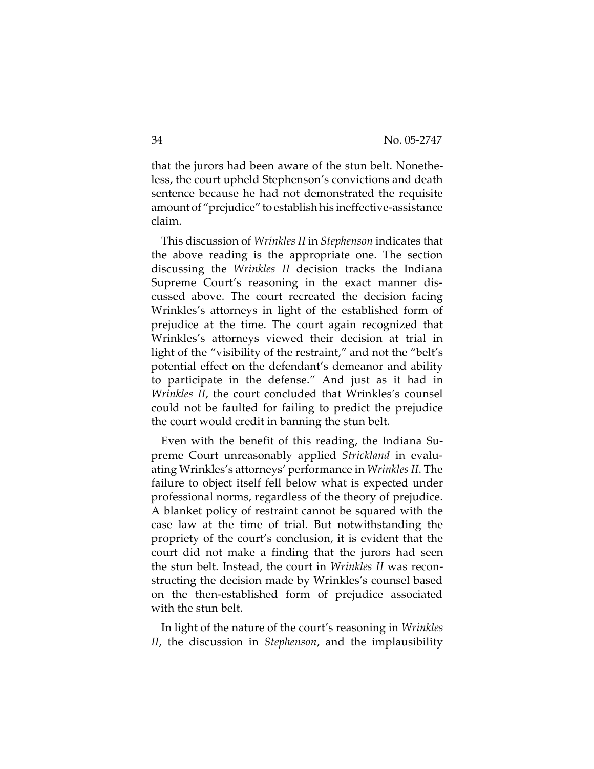that the jurors had been aware of the stun belt. Nonetheless, the court upheld Stephenson's convictions and death sentence because he had not demonstrated the requisite amount of "prejudice" to establish his ineffective-assistance claim.

This discussion of *Wrinkles II* in *Stephenson* indicates that the above reading is the appropriate one. The section discussing the *Wrinkles II* decision tracks the Indiana Supreme Court's reasoning in the exact manner discussed above. The court recreated the decision facing Wrinkles's attorneys in light of the established form of prejudice at the time. The court again recognized that Wrinkles's attorneys viewed their decision at trial in light of the "visibility of the restraint," and not the "belt's potential effect on the defendant's demeanor and ability to participate in the defense." And just as it had in *Wrinkles II*, the court concluded that Wrinkles's counsel could not be faulted for failing to predict the prejudice the court would credit in banning the stun belt.

Even with the benefit of this reading, the Indiana Supreme Court unreasonably applied *Strickland* in evaluating Wrinkles's attorneys' performance in *Wrinkles II*. The failure to object itself fell below what is expected under professional norms, regardless of the theory of prejudice. A blanket policy of restraint cannot be squared with the case law at the time of trial. But notwithstanding the propriety of the court's conclusion, it is evident that the court did not make a finding that the jurors had seen the stun belt. Instead, the court in *Wrinkles II* was reconstructing the decision made by Wrinkles's counsel based on the then-established form of prejudice associated with the stun belt.

In light of the nature of the court's reasoning in *Wrinkles II*, the discussion in *Stephenson*, and the implausibility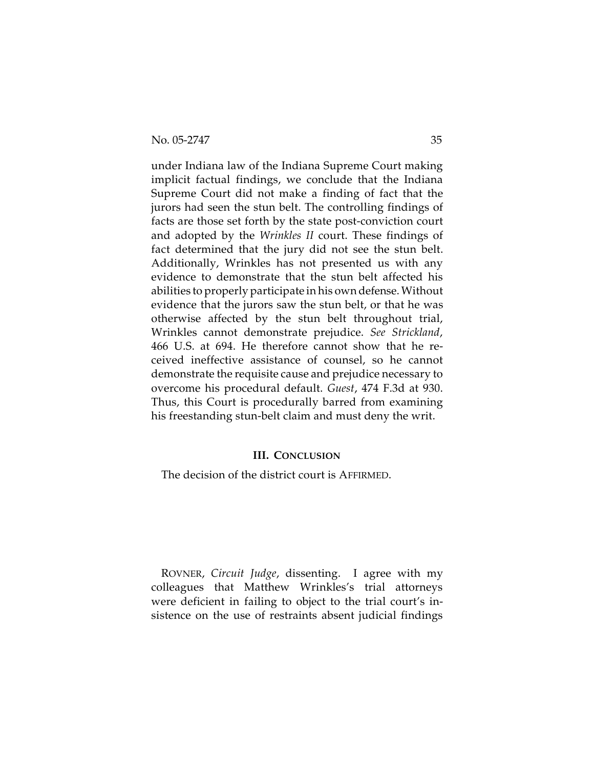under Indiana law of the Indiana Supreme Court making implicit factual findings, we conclude that the Indiana Supreme Court did not make a finding of fact that the jurors had seen the stun belt. The controlling findings of facts are those set forth by the state post-conviction court and adopted by the *Wrinkles II* court. These findings of fact determined that the jury did not see the stun belt. Additionally, Wrinkles has not presented us with any evidence to demonstrate that the stun belt affected his abilities to properly participate in his own defense. Without evidence that the jurors saw the stun belt, or that he was otherwise affected by the stun belt throughout trial, Wrinkles cannot demonstrate prejudice. *See Strickland*, 466 U.S. at 694. He therefore cannot show that he received ineffective assistance of counsel, so he cannot demonstrate the requisite cause and prejudice necessary to overcome his procedural default. *Guest*, 474 F.3d at 930. Thus, this Court is procedurally barred from examining his freestanding stun-belt claim and must deny the writ.

# **III. CONCLUSION**

The decision of the district court is AFFIRMED.

ROVNER, *Circuit Judge*, dissenting. I agree with my colleagues that Matthew Wrinkles's trial attorneys were deficient in failing to object to the trial court's insistence on the use of restraints absent judicial findings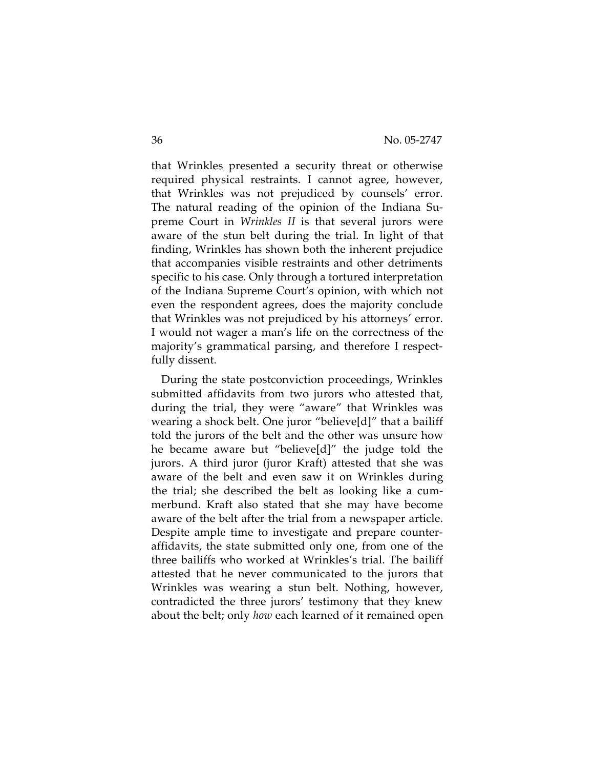that Wrinkles presented a security threat or otherwise required physical restraints. I cannot agree, however, that Wrinkles was not prejudiced by counsels' error. The natural reading of the opinion of the Indiana Supreme Court in *Wrinkles II* is that several jurors were aware of the stun belt during the trial. In light of that finding, Wrinkles has shown both the inherent prejudice that accompanies visible restraints and other detriments specific to his case. Only through a tortured interpretation of the Indiana Supreme Court's opinion, with which not even the respondent agrees, does the majority conclude that Wrinkles was not prejudiced by his attorneys' error. I would not wager a man's life on the correctness of the majority's grammatical parsing, and therefore I respectfully dissent.

During the state postconviction proceedings, Wrinkles submitted affidavits from two jurors who attested that, during the trial, they were "aware" that Wrinkles was wearing a shock belt. One juror "believe[d]" that a bailiff told the jurors of the belt and the other was unsure how he became aware but "believe[d]" the judge told the jurors. A third juror (juror Kraft) attested that she was aware of the belt and even saw it on Wrinkles during the trial; she described the belt as looking like a cummerbund. Kraft also stated that she may have become aware of the belt after the trial from a newspaper article. Despite ample time to investigate and prepare counteraffidavits, the state submitted only one, from one of the three bailiffs who worked at Wrinkles's trial. The bailiff attested that he never communicated to the jurors that Wrinkles was wearing a stun belt. Nothing, however, contradicted the three jurors' testimony that they knew about the belt; only *how* each learned of it remained open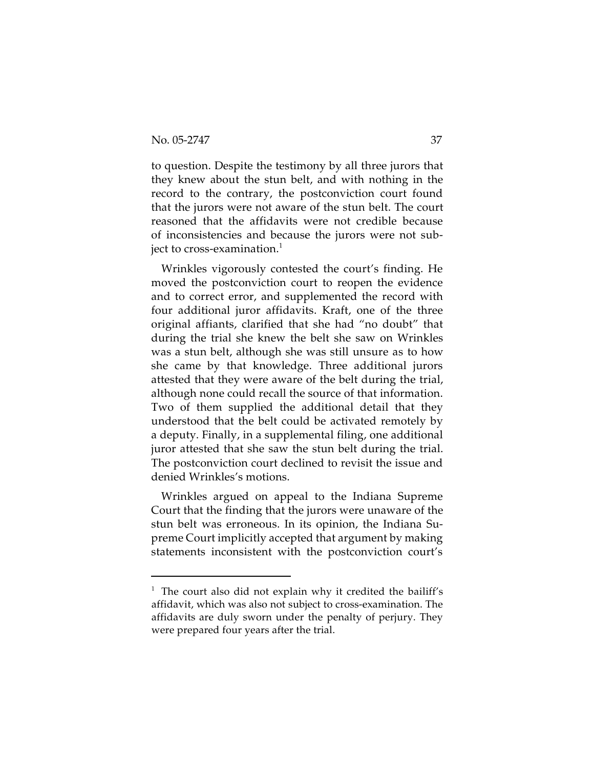to question. Despite the testimony by all three jurors that they knew about the stun belt, and with nothing in the record to the contrary, the postconviction court found that the jurors were not aware of the stun belt. The court reasoned that the affidavits were not credible because of inconsistencies and because the jurors were not subject to cross-examination.<sup>1</sup>

Wrinkles vigorously contested the court's finding. He moved the postconviction court to reopen the evidence and to correct error, and supplemented the record with four additional juror affidavits. Kraft, one of the three original affiants, clarified that she had "no doubt" that during the trial she knew the belt she saw on Wrinkles was a stun belt, although she was still unsure as to how she came by that knowledge. Three additional jurors attested that they were aware of the belt during the trial, although none could recall the source of that information. Two of them supplied the additional detail that they understood that the belt could be activated remotely by a deputy. Finally, in a supplemental filing, one additional juror attested that she saw the stun belt during the trial. The postconviction court declined to revisit the issue and denied Wrinkles's motions.

Wrinkles argued on appeal to the Indiana Supreme Court that the finding that the jurors were unaware of the stun belt was erroneous. In its opinion, the Indiana Supreme Court implicitly accepted that argument by making statements inconsistent with the postconviction court's

 $1$  The court also did not explain why it credited the bailiff's affidavit, which was also not subject to cross-examination. The affidavits are duly sworn under the penalty of perjury. They were prepared four years after the trial.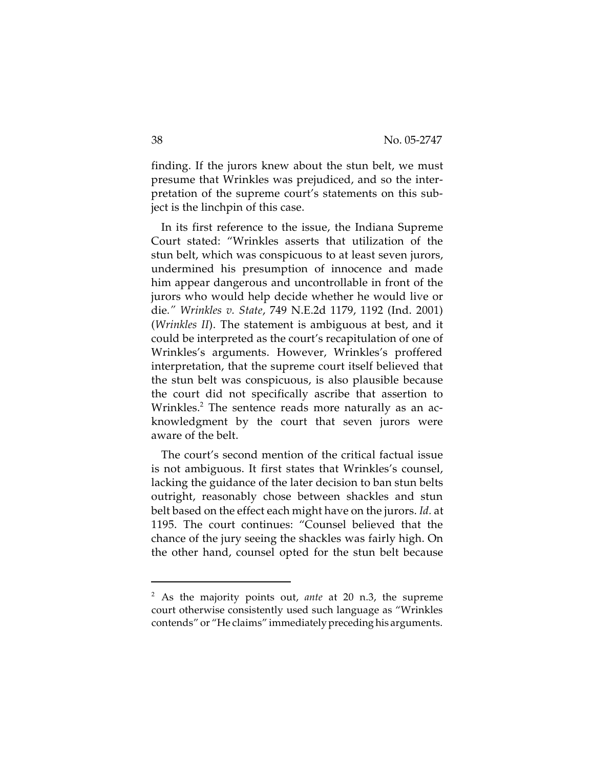finding. If the jurors knew about the stun belt, we must presume that Wrinkles was prejudiced, and so the interpretation of the supreme court's statements on this subject is the linchpin of this case.

In its first reference to the issue, the Indiana Supreme Court stated: "Wrinkles asserts that utilization of the stun belt, which was conspicuous to at least seven jurors, undermined his presumption of innocence and made him appear dangerous and uncontrollable in front of the jurors who would help decide whether he would live or die*." Wrinkles v. State*, 749 N.E.2d 1179, 1192 (Ind. 2001) (*Wrinkles II*). The statement is ambiguous at best, and it could be interpreted as the court's recapitulation of one of Wrinkles's arguments. However, Wrinkles's proffered interpretation, that the supreme court itself believed that the stun belt was conspicuous, is also plausible because the court did not specifically ascribe that assertion to Wrinkles. $^2$  The sentence reads more naturally as an acknowledgment by the court that seven jurors were aware of the belt.

The court's second mention of the critical factual issue is not ambiguous. It first states that Wrinkles's counsel, lacking the guidance of the later decision to ban stun belts outright, reasonably chose between shackles and stun belt based on the effect each might have on the jurors. *Id.* at 1195. The court continues: "Counsel believed that the chance of the jury seeing the shackles was fairly high. On the other hand, counsel opted for the stun belt because

<sup>2</sup> As the majority points out, *ante* at 20 n.3, the supreme court otherwise consistently used such language as "Wrinkles contends" or "He claims" immediately preceding his arguments.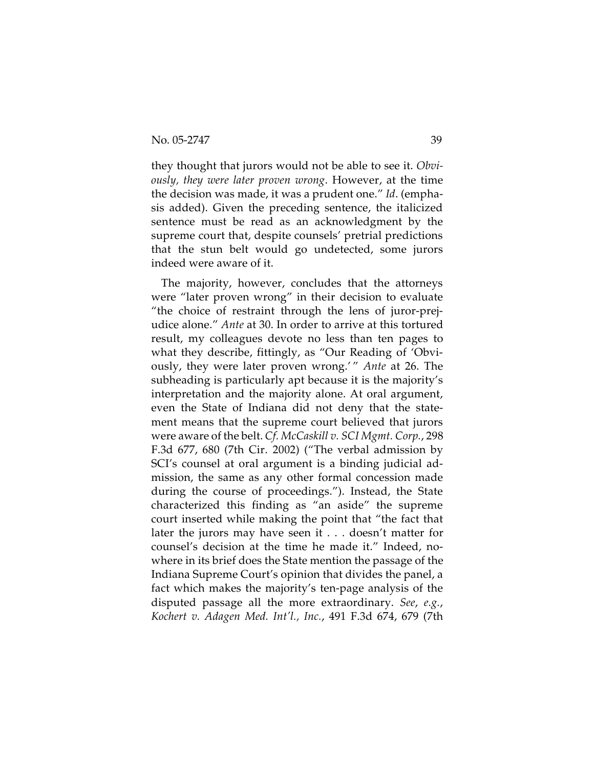they thought that jurors would not be able to see it. *Obviously, they were later proven wrong*. However, at the time the decision was made, it was a prudent one." *Id*. (emphasis added). Given the preceding sentence, the italicized sentence must be read as an acknowledgment by the supreme court that, despite counsels' pretrial predictions that the stun belt would go undetected, some jurors indeed were aware of it.

The majority, however, concludes that the attorneys were "later proven wrong" in their decision to evaluate "the choice of restraint through the lens of juror-prejudice alone." *Ante* at 30. In order to arrive at this tortured result, my colleagues devote no less than ten pages to what they describe, fittingly, as "Our Reading of 'Obviously, they were later proven wrong.' " *Ante* at 26. The subheading is particularly apt because it is the majority's interpretation and the majority alone. At oral argument, even the State of Indiana did not deny that the statement means that the supreme court believed that jurors were aware of the belt. *Cf. McCaskill v. SCI Mgmt. Corp.*, 298 F.3d 677, 680 (7th Cir. 2002) ("The verbal admission by SCI's counsel at oral argument is a binding judicial admission, the same as any other formal concession made during the course of proceedings."). Instead, the State characterized this finding as "an aside" the supreme court inserted while making the point that "the fact that later the jurors may have seen it . . . doesn't matter for counsel's decision at the time he made it." Indeed, nowhere in its brief does the State mention the passage of the Indiana Supreme Court's opinion that divides the panel, a fact which makes the majority's ten-page analysis of the disputed passage all the more extraordinary. *See*, *e.g.*, *Kochert v. Adagen Med. Int'l., Inc.*, 491 F.3d 674, 679 (7th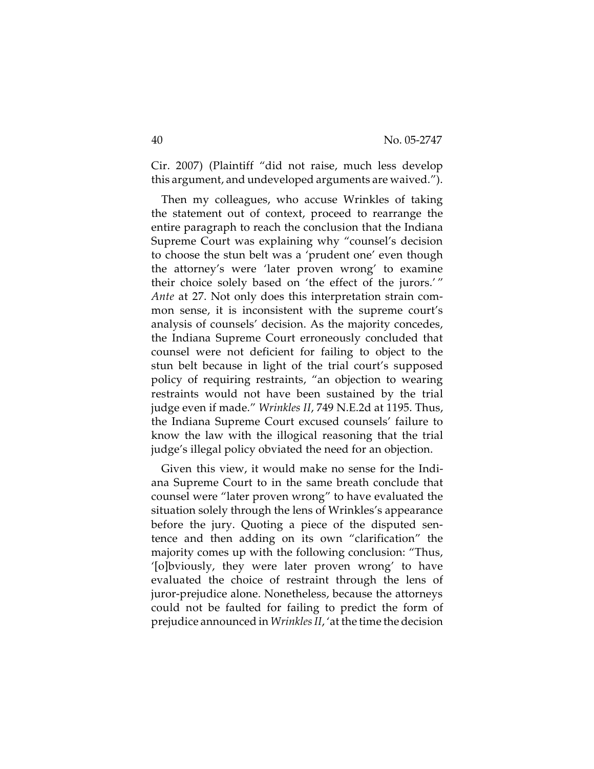Cir. 2007) (Plaintiff "did not raise, much less develop this argument, and undeveloped arguments are waived.").

Then my colleagues, who accuse Wrinkles of taking the statement out of context, proceed to rearrange the entire paragraph to reach the conclusion that the Indiana Supreme Court was explaining why "counsel's decision to choose the stun belt was a 'prudent one' even though the attorney's were 'later proven wrong' to examine their choice solely based on 'the effect of the jurors.' " *Ante* at 27. Not only does this interpretation strain common sense, it is inconsistent with the supreme court's analysis of counsels' decision. As the majority concedes, the Indiana Supreme Court erroneously concluded that counsel were not deficient for failing to object to the stun belt because in light of the trial court's supposed policy of requiring restraints, "an objection to wearing restraints would not have been sustained by the trial judge even if made." *Wrinkles II*, 749 N.E.2d at 1195. Thus, the Indiana Supreme Court excused counsels' failure to know the law with the illogical reasoning that the trial judge's illegal policy obviated the need for an objection.

Given this view, it would make no sense for the Indiana Supreme Court to in the same breath conclude that counsel were "later proven wrong" to have evaluated the situation solely through the lens of Wrinkles's appearance before the jury. Quoting a piece of the disputed sentence and then adding on its own "clarification" the majority comes up with the following conclusion: "Thus, '[o]bviously, they were later proven wrong' to have evaluated the choice of restraint through the lens of juror-prejudice alone. Nonetheless, because the attorneys could not be faulted for failing to predict the form of prejudice announced in *Wrinkles II*, 'at the time the decision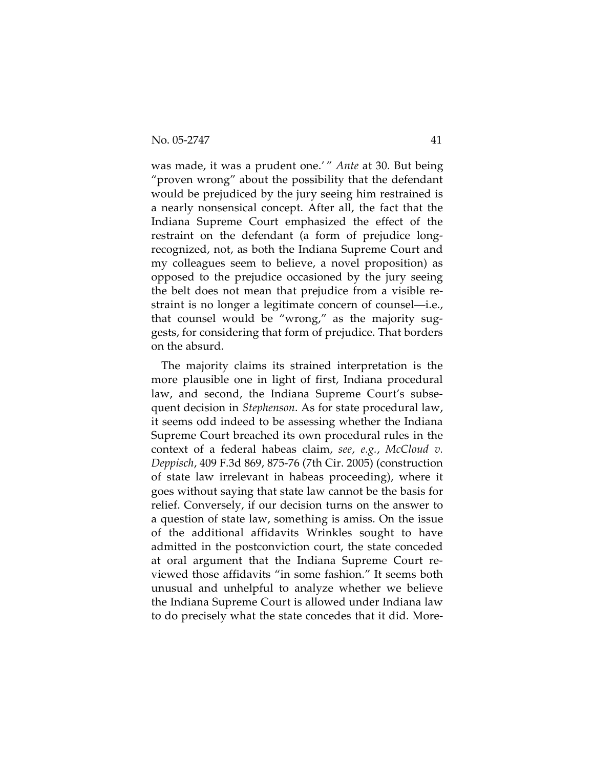was made, it was a prudent one.' " *Ante* at 30. But being "proven wrong" about the possibility that the defendant would be prejudiced by the jury seeing him restrained is a nearly nonsensical concept. After all, the fact that the Indiana Supreme Court emphasized the effect of the restraint on the defendant (a form of prejudice longrecognized, not, as both the Indiana Supreme Court and my colleagues seem to believe, a novel proposition) as opposed to the prejudice occasioned by the jury seeing the belt does not mean that prejudice from a visible restraint is no longer a legitimate concern of counsel—i.e., that counsel would be "wrong," as the majority suggests, for considering that form of prejudice. That borders on the absurd.

The majority claims its strained interpretation is the more plausible one in light of first, Indiana procedural law, and second, the Indiana Supreme Court's subsequent decision in *Stephenson*. As for state procedural law, it seems odd indeed to be assessing whether the Indiana Supreme Court breached its own procedural rules in the context of a federal habeas claim, *see*, *e.g.*, *McCloud v. Deppisch*, 409 F.3d 869, 875-76 (7th Cir. 2005) (construction of state law irrelevant in habeas proceeding), where it goes without saying that state law cannot be the basis for relief. Conversely, if our decision turns on the answer to a question of state law, something is amiss. On the issue of the additional affidavits Wrinkles sought to have admitted in the postconviction court, the state conceded at oral argument that the Indiana Supreme Court reviewed those affidavits "in some fashion." It seems both unusual and unhelpful to analyze whether we believe the Indiana Supreme Court is allowed under Indiana law to do precisely what the state concedes that it did. More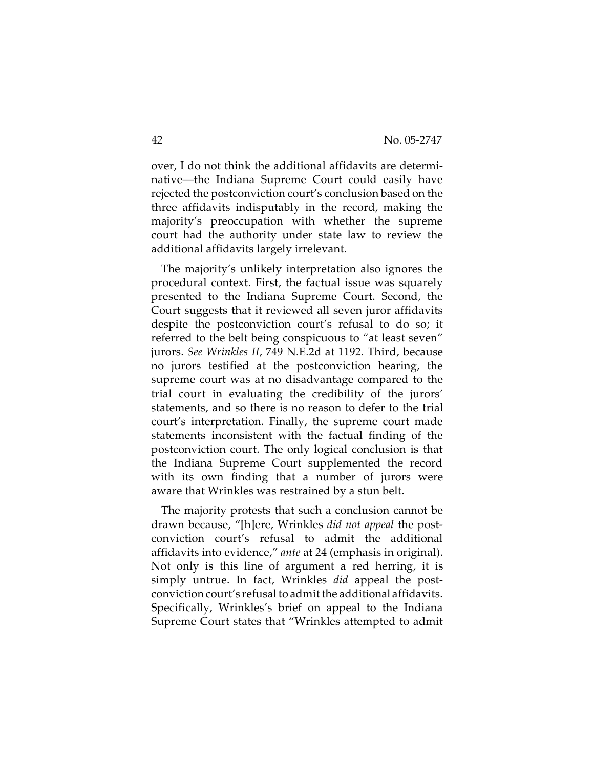over, I do not think the additional affidavits are determinative—the Indiana Supreme Court could easily have rejected the postconviction court's conclusion based on the three affidavits indisputably in the record, making the majority's preoccupation with whether the supreme court had the authority under state law to review the additional affidavits largely irrelevant.

The majority's unlikely interpretation also ignores the procedural context. First, the factual issue was squarely presented to the Indiana Supreme Court. Second, the Court suggests that it reviewed all seven juror affidavits despite the postconviction court's refusal to do so; it referred to the belt being conspicuous to "at least seven" jurors. *See Wrinkles II*, 749 N.E.2d at 1192. Third, because no jurors testified at the postconviction hearing, the supreme court was at no disadvantage compared to the trial court in evaluating the credibility of the jurors' statements, and so there is no reason to defer to the trial court's interpretation. Finally, the supreme court made statements inconsistent with the factual finding of the postconviction court. The only logical conclusion is that the Indiana Supreme Court supplemented the record with its own finding that a number of jurors were aware that Wrinkles was restrained by a stun belt.

The majority protests that such a conclusion cannot be drawn because, "[h]ere, Wrinkles *did not appeal* the postconviction court's refusal to admit the additional affidavits into evidence," *ante* at 24 (emphasis in original). Not only is this line of argument a red herring, it is simply untrue. In fact, Wrinkles *did* appeal the postconviction court's refusal to admit the additional affidavits. Specifically, Wrinkles's brief on appeal to the Indiana Supreme Court states that "Wrinkles attempted to admit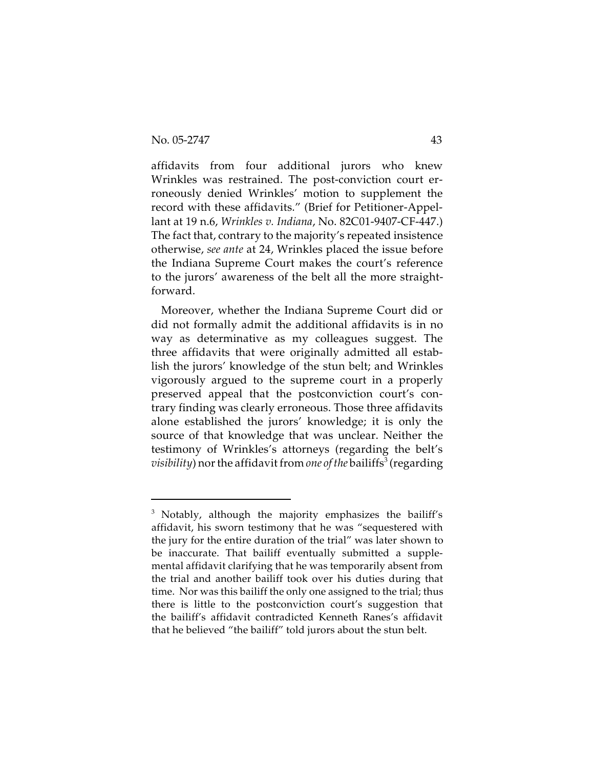affidavits from four additional jurors who knew Wrinkles was restrained. The post-conviction court erroneously denied Wrinkles' motion to supplement the record with these affidavits." (Brief for Petitioner-Appellant at 19 n.6, *Wrinkles v. Indiana*, No. 82C01-9407-CF-447.) The fact that, contrary to the majority's repeated insistence otherwise, *see ante* at 24, Wrinkles placed the issue before the Indiana Supreme Court makes the court's reference to the jurors' awareness of the belt all the more straightforward.

Moreover, whether the Indiana Supreme Court did or did not formally admit the additional affidavits is in no way as determinative as my colleagues suggest. The three affidavits that were originally admitted all establish the jurors' knowledge of the stun belt; and Wrinkles vigorously argued to the supreme court in a properly preserved appeal that the postconviction court's contrary finding was clearly erroneous. Those three affidavits alone established the jurors' knowledge; it is only the source of that knowledge that was unclear. Neither the testimony of Wrinkles's attorneys (regarding the belt's  $\emph{visibility}$ ) nor the affidavit from *one of the* bailiffs<sup>3</sup> (regarding

<sup>&</sup>lt;sup>3</sup> Notably, although the majority emphasizes the bailiff's affidavit, his sworn testimony that he was "sequestered with the jury for the entire duration of the trial" was later shown to be inaccurate. That bailiff eventually submitted a supplemental affidavit clarifying that he was temporarily absent from the trial and another bailiff took over his duties during that time. Nor was this bailiff the only one assigned to the trial; thus there is little to the postconviction court's suggestion that the bailiff's affidavit contradicted Kenneth Ranes's affidavit that he believed "the bailiff" told jurors about the stun belt.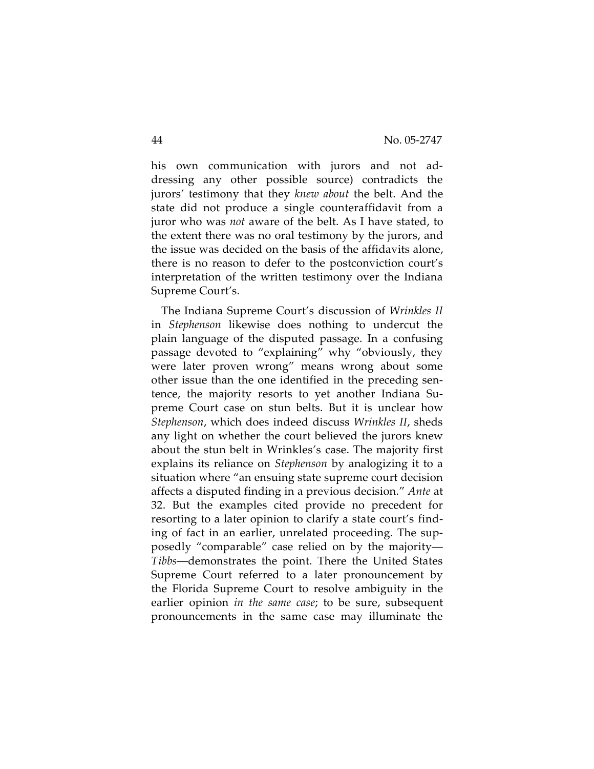his own communication with jurors and not addressing any other possible source) contradicts the jurors' testimony that they *knew about* the belt. And the state did not produce a single counteraffidavit from a juror who was *not* aware of the belt. As I have stated, to the extent there was no oral testimony by the jurors, and the issue was decided on the basis of the affidavits alone, there is no reason to defer to the postconviction court's interpretation of the written testimony over the Indiana Supreme Court's.

The Indiana Supreme Court's discussion of *Wrinkles II* in *Stephenson* likewise does nothing to undercut the plain language of the disputed passage. In a confusing passage devoted to "explaining" why "obviously, they were later proven wrong" means wrong about some other issue than the one identified in the preceding sentence, the majority resorts to yet another Indiana Supreme Court case on stun belts. But it is unclear how *Stephenson*, which does indeed discuss *Wrinkles II*, sheds any light on whether the court believed the jurors knew about the stun belt in Wrinkles's case. The majority first explains its reliance on *Stephenson* by analogizing it to a situation where "an ensuing state supreme court decision affects a disputed finding in a previous decision." *Ante* at 32. But the examples cited provide no precedent for resorting to a later opinion to clarify a state court's finding of fact in an earlier, unrelated proceeding. The supposedly "comparable" case relied on by the majority— *Tibbs—*demonstrates the point. There the United States Supreme Court referred to a later pronouncement by the Florida Supreme Court to resolve ambiguity in the earlier opinion *in the same case*; to be sure, subsequent pronouncements in the same case may illuminate the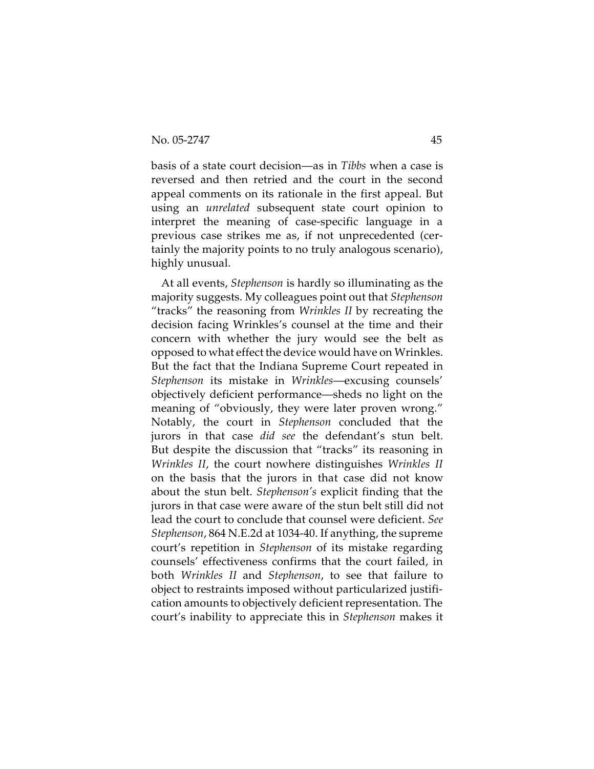basis of a state court decision—as in *Tibbs* when a case is reversed and then retried and the court in the second appeal comments on its rationale in the first appeal. But using an *unrelated* subsequent state court opinion to interpret the meaning of case-specific language in a previous case strikes me as, if not unprecedented (certainly the majority points to no truly analogous scenario), highly unusual.

At all events, *Stephenson* is hardly so illuminating as the majority suggests. My colleagues point out that *Stephenson* "tracks" the reasoning from *Wrinkles II* by recreating the decision facing Wrinkles's counsel at the time and their concern with whether the jury would see the belt as opposed to what effect the device would have on Wrinkles. But the fact that the Indiana Supreme Court repeated in *Stephenson* its mistake in *Wrinkles*—excusing counsels' objectively deficient performance—sheds no light on the meaning of "obviously, they were later proven wrong." Notably, the court in *Stephenson* concluded that the jurors in that case *did see* the defendant's stun belt. But despite the discussion that "tracks" its reasoning in *Wrinkles II*, the court nowhere distinguishes *Wrinkles II* on the basis that the jurors in that case did not know about the stun belt. *Stephenson's* explicit finding that the jurors in that case were aware of the stun belt still did not lead the court to conclude that counsel were deficient. *See Stephenson*, 864 N.E.2d at 1034-40. If anything, the supreme court's repetition in *Stephenson* of its mistake regarding counsels' effectiveness confirms that the court failed, in both *Wrinkles II* and *Stephenson*, to see that failure to object to restraints imposed without particularized justification amounts to objectively deficient representation. The court's inability to appreciate this in *Stephenson* makes it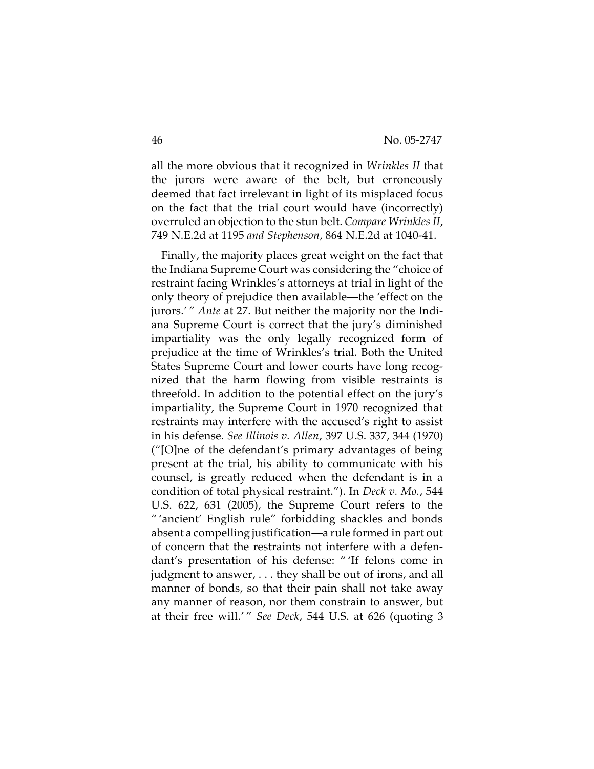all the more obvious that it recognized in *Wrinkles II* that the jurors were aware of the belt, but erroneously deemed that fact irrelevant in light of its misplaced focus on the fact that the trial court would have (incorrectly) overruled an objection to the stun belt. *Compare Wrinkles II*, 749 N.E.2d at 1195 *and Stephenson*, 864 N.E.2d at 1040-41.

Finally, the majority places great weight on the fact that the Indiana Supreme Court was considering the "choice of restraint facing Wrinkles's attorneys at trial in light of the only theory of prejudice then available—the 'effect on the jurors.' " *Ante* at 27. But neither the majority nor the Indiana Supreme Court is correct that the jury's diminished impartiality was the only legally recognized form of prejudice at the time of Wrinkles's trial. Both the United States Supreme Court and lower courts have long recognized that the harm flowing from visible restraints is threefold. In addition to the potential effect on the jury's impartiality, the Supreme Court in 1970 recognized that restraints may interfere with the accused's right to assist in his defense. *See Illinois v. Allen*, 397 U.S. 337, 344 (1970) ("[O]ne of the defendant's primary advantages of being present at the trial, his ability to communicate with his counsel, is greatly reduced when the defendant is in a condition of total physical restraint."). In *Deck v. Mo.*, 544 U.S. 622, 631 (2005), the Supreme Court refers to the " 'ancient' English rule" forbidding shackles and bonds absent a compelling justification—a rule formed in part out of concern that the restraints not interfere with a defendant's presentation of his defense: " 'If felons come in judgment to answer, . . . they shall be out of irons, and all manner of bonds, so that their pain shall not take away any manner of reason, nor them constrain to answer, but at their free will.' " *See Deck*, 544 U.S. at 626 (quoting 3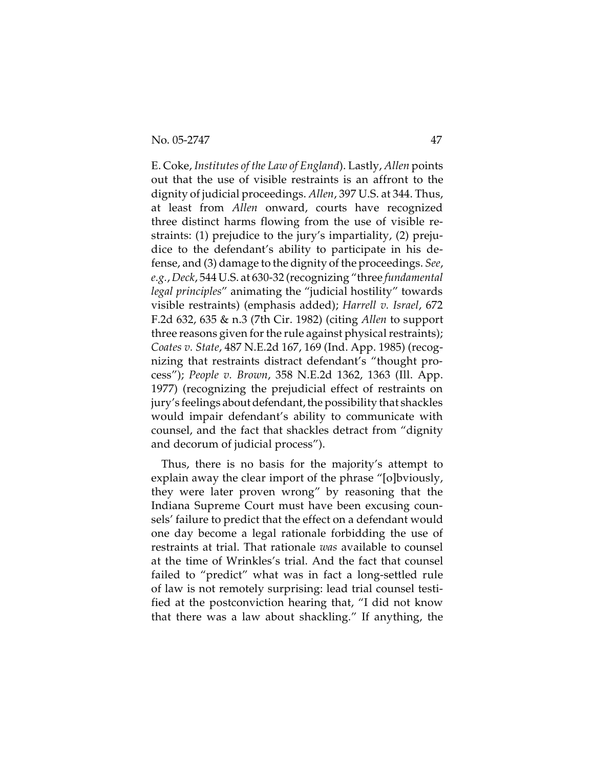No. 05-2747 47

E. Coke, *Institutes of the Law of England*). Lastly, *Allen* points out that the use of visible restraints is an affront to the dignity of judicial proceedings. *Allen*, 397 U.S. at 344. Thus, at least from *Allen* onward, courts have recognized three distinct harms flowing from the use of visible restraints: (1) prejudice to the jury's impartiality, (2) prejudice to the defendant's ability to participate in his defense, and (3) damage to the dignity of the proceedings. *See*, *e.g.*, *Deck*, 544 U.S. at 630-32 (recognizing "three *fundamental legal principles*" animating the "judicial hostility" towards visible restraints) (emphasis added); *Harrell v. Israel*, 672 F.2d 632, 635 & n.3 (7th Cir. 1982) (citing *Allen* to support three reasons given for the rule against physical restraints); *Coates v. State*, 487 N.E.2d 167, 169 (Ind. App. 1985) (recognizing that restraints distract defendant's "thought process"); *People v. Brown*, 358 N.E.2d 1362, 1363 (Ill. App. 1977) (recognizing the prejudicial effect of restraints on jury's feelings about defendant, the possibility that shackles would impair defendant's ability to communicate with counsel, and the fact that shackles detract from "dignity and decorum of judicial process").

Thus, there is no basis for the majority's attempt to explain away the clear import of the phrase "[o]bviously, they were later proven wrong" by reasoning that the Indiana Supreme Court must have been excusing counsels' failure to predict that the effect on a defendant would one day become a legal rationale forbidding the use of restraints at trial. That rationale *was* available to counsel at the time of Wrinkles's trial. And the fact that counsel failed to "predict" what was in fact a long-settled rule of law is not remotely surprising: lead trial counsel testified at the postconviction hearing that, "I did not know that there was a law about shackling." If anything, the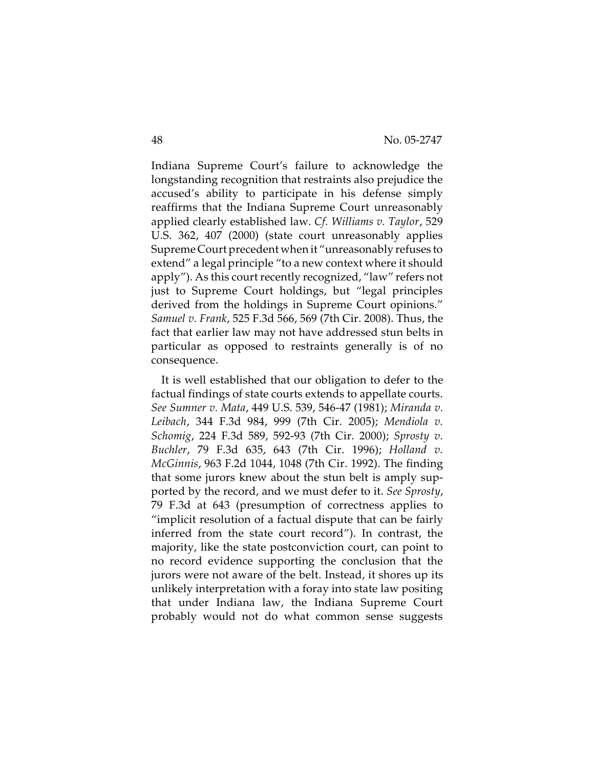Indiana Supreme Court's failure to acknowledge the longstanding recognition that restraints also prejudice the accused's ability to participate in his defense simply reaffirms that the Indiana Supreme Court unreasonably applied clearly established law. *Cf. Williams v. Taylor*, 529 U.S. 362, 407 (2000) (state court unreasonably applies Supreme Court precedent when it "unreasonably refuses to extend" a legal principle "to a new context where it should apply"). As this court recently recognized, "law" refers not just to Supreme Court holdings, but "legal principles derived from the holdings in Supreme Court opinions." *Samuel v. Frank*, 525 F.3d 566, 569 (7th Cir. 2008). Thus, the fact that earlier law may not have addressed stun belts in particular as opposed to restraints generally is of no consequence.

It is well established that our obligation to defer to the factual findings of state courts extends to appellate courts. *See Sumner v. Mata*, 449 U.S. 539, 546-47 (1981); *Miranda v. Leibach*, 344 F.3d 984, 999 (7th Cir. 2005); *Mendiola v. Schomig*, 224 F.3d 589, 592-93 (7th Cir. 2000); *Sprosty v. Buchler*, 79 F.3d 635, 643 (7th Cir. 1996); *Holland v. McGinnis*, 963 F.2d 1044, 1048 (7th Cir. 1992). The finding that some jurors knew about the stun belt is amply supported by the record, and we must defer to it. *See Sprosty*, 79 F.3d at 643 (presumption of correctness applies to "implicit resolution of a factual dispute that can be fairly inferred from the state court record"). In contrast, the majority, like the state postconviction court, can point to no record evidence supporting the conclusion that the jurors were not aware of the belt. Instead, it shores up its unlikely interpretation with a foray into state law positing that under Indiana law, the Indiana Supreme Court probably would not do what common sense suggests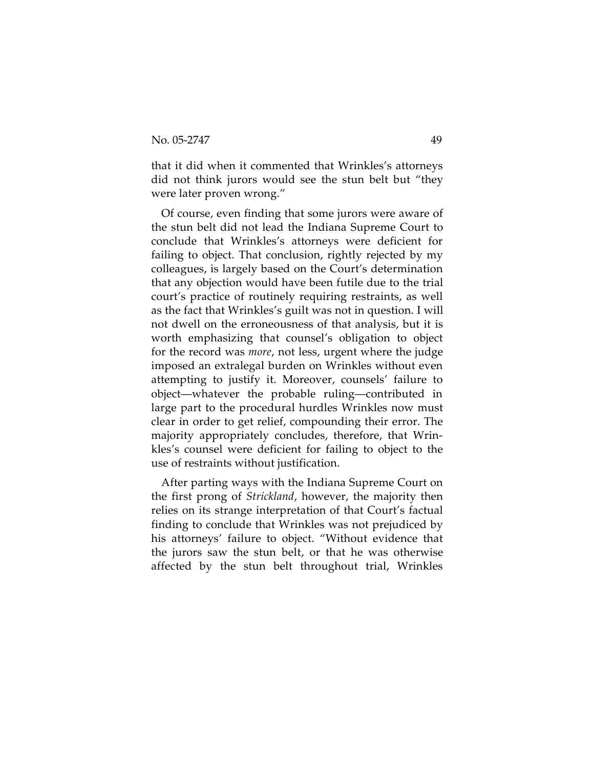that it did when it commented that Wrinkles's attorneys did not think jurors would see the stun belt but "they were later proven wrong."

Of course, even finding that some jurors were aware of the stun belt did not lead the Indiana Supreme Court to conclude that Wrinkles's attorneys were deficient for failing to object. That conclusion, rightly rejected by my colleagues, is largely based on the Court's determination that any objection would have been futile due to the trial court's practice of routinely requiring restraints, as well as the fact that Wrinkles's guilt was not in question. I will not dwell on the erroneousness of that analysis, but it is worth emphasizing that counsel's obligation to object for the record was *more*, not less, urgent where the judge imposed an extralegal burden on Wrinkles without even attempting to justify it. Moreover, counsels' failure to object—whatever the probable ruling—contributed in large part to the procedural hurdles Wrinkles now must clear in order to get relief, compounding their error. The majority appropriately concludes, therefore, that Wrinkles's counsel were deficient for failing to object to the use of restraints without justification.

After parting ways with the Indiana Supreme Court on the first prong of *Strickland*, however, the majority then relies on its strange interpretation of that Court's factual finding to conclude that Wrinkles was not prejudiced by his attorneys' failure to object. "Without evidence that the jurors saw the stun belt, or that he was otherwise affected by the stun belt throughout trial, Wrinkles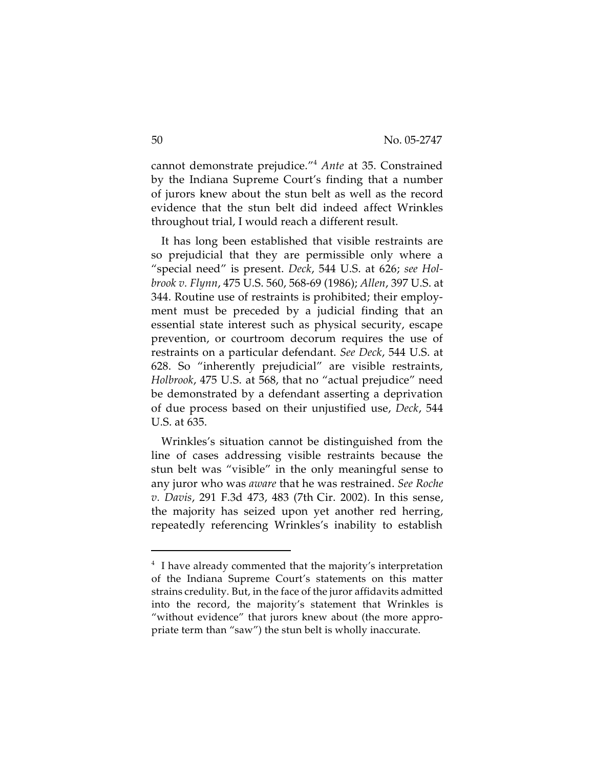cannot demonstrate prejudice."<sup>4</sup> *Ante* at 35. Constrained by the Indiana Supreme Court's finding that a number of jurors knew about the stun belt as well as the record evidence that the stun belt did indeed affect Wrinkles throughout trial, I would reach a different result.

It has long been established that visible restraints are so prejudicial that they are permissible only where a "special need" is present. *Deck*, 544 U.S. at 626; *see Holbrook v. Flynn*, 475 U.S. 560, 568-69 (1986); *Allen*, 397 U.S. at 344. Routine use of restraints is prohibited; their employment must be preceded by a judicial finding that an essential state interest such as physical security, escape prevention, or courtroom decorum requires the use of restraints on a particular defendant. *See Deck*, 544 U.S. at 628. So "inherently prejudicial" are visible restraints, *Holbrook*, 475 U.S. at 568, that no "actual prejudice" need be demonstrated by a defendant asserting a deprivation of due process based on their unjustified use, *Deck*, 544 U.S. at 635.

Wrinkles's situation cannot be distinguished from the line of cases addressing visible restraints because the stun belt was "visible" in the only meaningful sense to any juror who was *aware* that he was restrained. *See Roche v. Davis*, 291 F.3d 473, 483 (7th Cir. 2002). In this sense, the majority has seized upon yet another red herring, repeatedly referencing Wrinkles's inability to establish

<sup>&</sup>lt;sup>4</sup> I have already commented that the majority's interpretation of the Indiana Supreme Court's statements on this matter strains credulity. But, in the face of the juror affidavits admitted into the record, the majority's statement that Wrinkles is "without evidence" that jurors knew about (the more appropriate term than "saw") the stun belt is wholly inaccurate.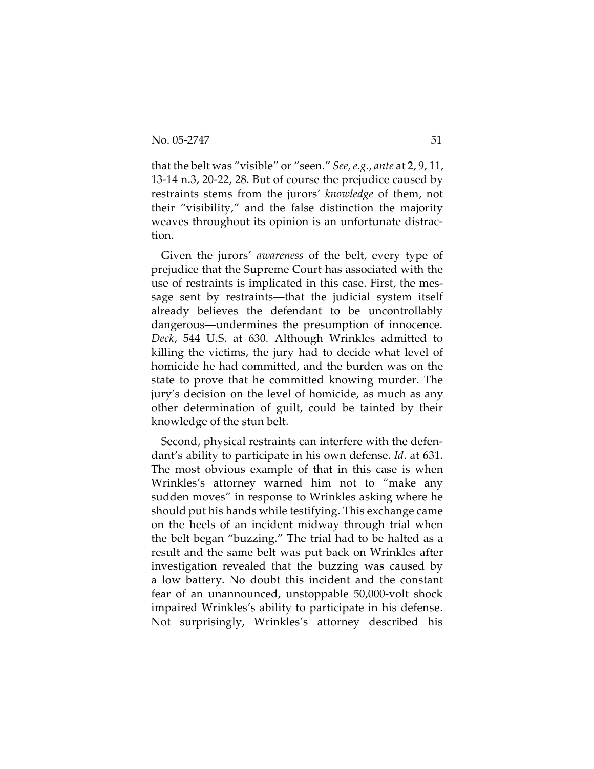that the belt was "visible" or "seen." *See, e.g., ante* at 2, 9, 11, 13-14 n.3, 20-22, 28. But of course the prejudice caused by restraints stems from the jurors' *knowledge* of them, not their "visibility," and the false distinction the majority weaves throughout its opinion is an unfortunate distraction.

Given the jurors' *awareness* of the belt, every type of prejudice that the Supreme Court has associated with the use of restraints is implicated in this case. First, the message sent by restraints—that the judicial system itself already believes the defendant to be uncontrollably dangerous—undermines the presumption of innocence. *Deck*, 544 U.S. at 630. Although Wrinkles admitted to killing the victims, the jury had to decide what level of homicide he had committed, and the burden was on the state to prove that he committed knowing murder. The jury's decision on the level of homicide, as much as any other determination of guilt, could be tainted by their knowledge of the stun belt.

Second, physical restraints can interfere with the defendant's ability to participate in his own defense. *Id*. at 631. The most obvious example of that in this case is when Wrinkles's attorney warned him not to "make any sudden moves" in response to Wrinkles asking where he should put his hands while testifying. This exchange came on the heels of an incident midway through trial when the belt began "buzzing." The trial had to be halted as a result and the same belt was put back on Wrinkles after investigation revealed that the buzzing was caused by a low battery. No doubt this incident and the constant fear of an unannounced, unstoppable 50,000-volt shock impaired Wrinkles's ability to participate in his defense. Not surprisingly, Wrinkles's attorney described his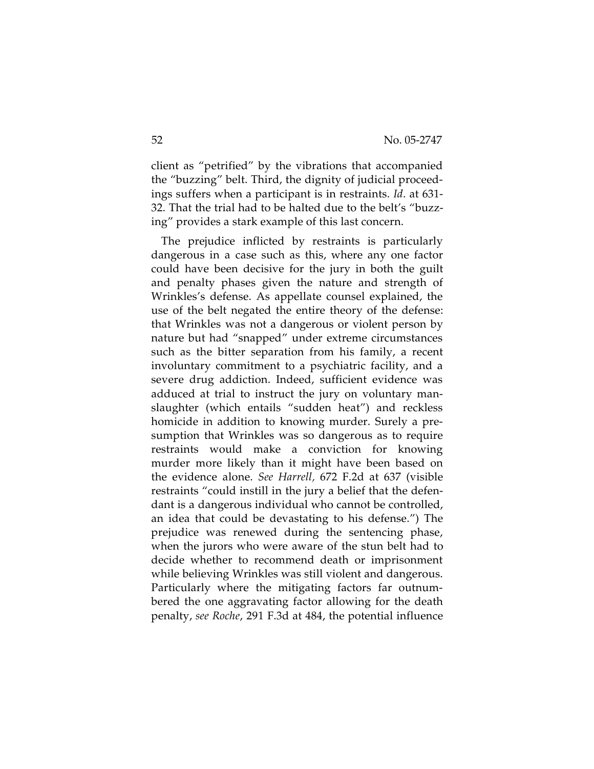client as "petrified" by the vibrations that accompanied the "buzzing" belt. Third, the dignity of judicial proceedings suffers when a participant is in restraints. *Id*. at 631- 32. That the trial had to be halted due to the belt's "buzzing" provides a stark example of this last concern.

The prejudice inflicted by restraints is particularly dangerous in a case such as this, where any one factor could have been decisive for the jury in both the guilt and penalty phases given the nature and strength of Wrinkles's defense. As appellate counsel explained, the use of the belt negated the entire theory of the defense: that Wrinkles was not a dangerous or violent person by nature but had "snapped" under extreme circumstances such as the bitter separation from his family, a recent involuntary commitment to a psychiatric facility, and a severe drug addiction. Indeed, sufficient evidence was adduced at trial to instruct the jury on voluntary manslaughter (which entails "sudden heat") and reckless homicide in addition to knowing murder. Surely a presumption that Wrinkles was so dangerous as to require restraints would make a conviction for knowing murder more likely than it might have been based on the evidence alone. *See Harrell,* 672 F.2d at 637 (visible restraints "could instill in the jury a belief that the defendant is a dangerous individual who cannot be controlled, an idea that could be devastating to his defense.") The prejudice was renewed during the sentencing phase, when the jurors who were aware of the stun belt had to decide whether to recommend death or imprisonment while believing Wrinkles was still violent and dangerous. Particularly where the mitigating factors far outnumbered the one aggravating factor allowing for the death penalty, *see Roche*, 291 F.3d at 484, the potential influence